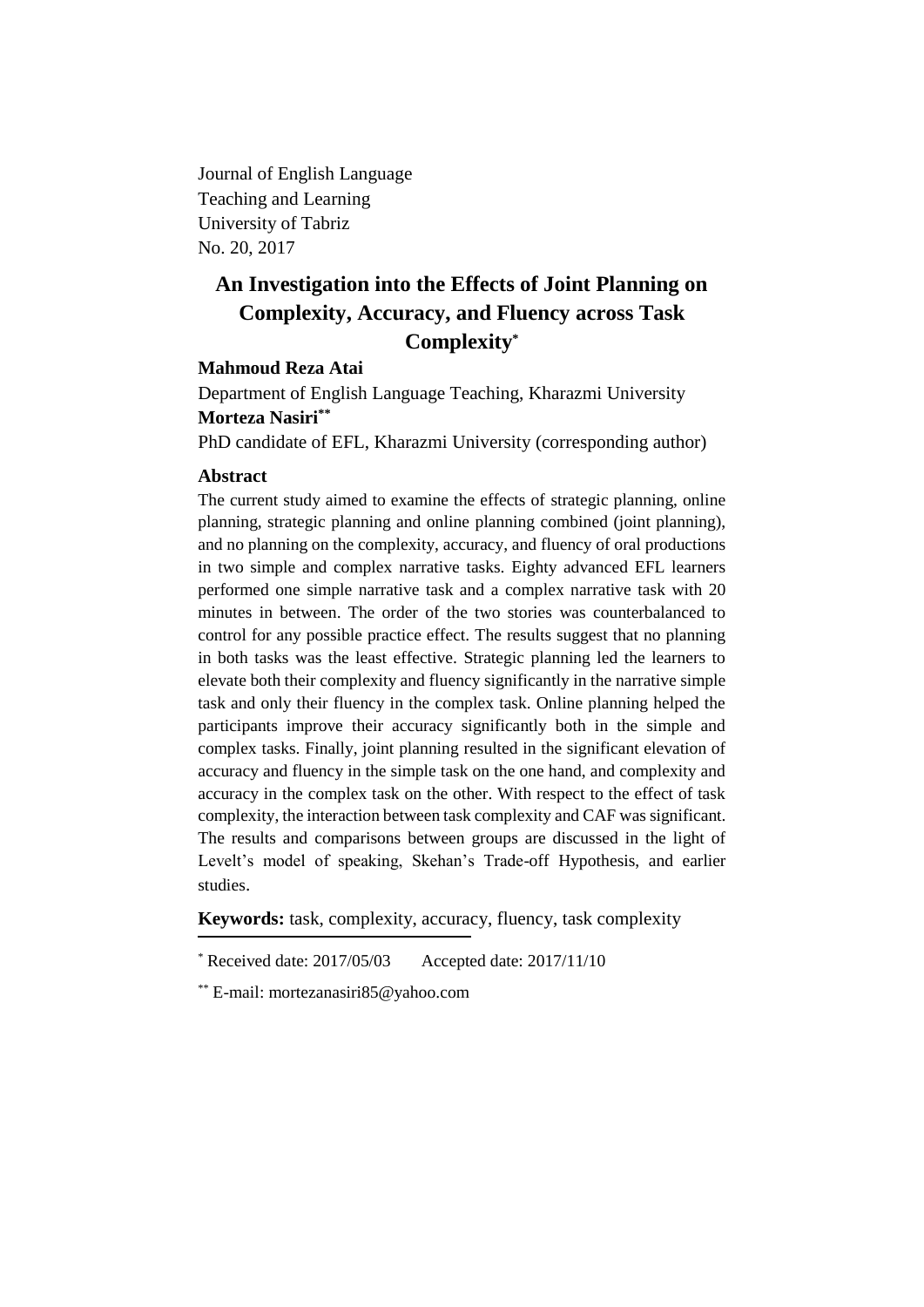Journal of English Language Teaching and Learning University of Tabriz No. 20, 2017

# **An Investigation into the Effects of Joint Planning on Complexity, Accuracy, and Fluency across Task Complexity\***

# **Mahmoud Reza Atai**

Department of English Language Teaching, Kharazmi University **Morteza Nasiri\*\***

PhD candidate of EFL, Kharazmi University (corresponding author)

### **Abstract**

The current study aimed to examine the effects of strategic planning, online planning, strategic planning and online planning combined (joint planning), and no planning on the complexity, accuracy, and fluency of oral productions in two simple and complex narrative tasks. Eighty advanced EFL learners performed one simple narrative task and a complex narrative task with 20 minutes in between. The order of the two stories was counterbalanced to control for any possible practice effect. The results suggest that no planning in both tasks was the least effective. Strategic planning led the learners to elevate both their complexity and fluency significantly in the narrative simple task and only their fluency in the complex task. Online planning helped the participants improve their accuracy significantly both in the simple and complex tasks. Finally, joint planning resulted in the significant elevation of accuracy and fluency in the simple task on the one hand, and complexity and accuracy in the complex task on the other. With respect to the effect of task complexity, the interaction between task complexity and CAF was significant. The results and comparisons between groups are discussed in the light of Levelt's model of speaking, Skehan's Trade-off Hypothesis, and earlier studies.

**Keywords:** task, complexity, accuracy, fluency, task complexity

<sup>\*</sup> Received date: 2017/05/03 Accepted date: 2017/11/10

<sup>\*\*</sup> E-mail: mortezanasiri85@yahoo.com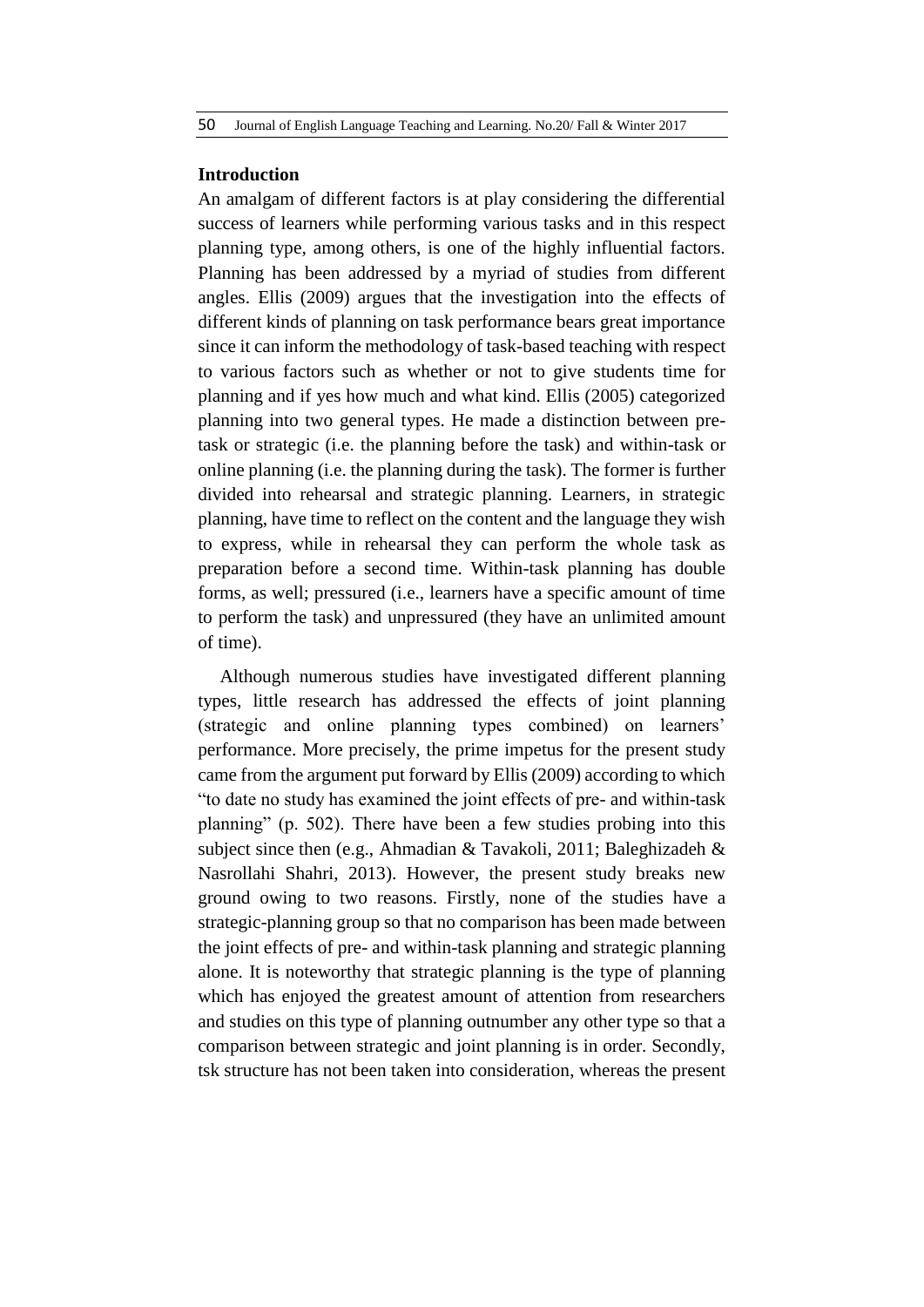#### **Introduction**

An amalgam of different factors is at play considering the differential success of learners while performing various tasks and in this respect planning type, among others, is one of the highly influential factors. Planning has been addressed by a myriad of studies from different angles. Ellis (2009) argues that the investigation into the effects of different kinds of planning on task performance bears great importance since it can inform the methodology of task-based teaching with respect to various factors such as whether or not to give students time for planning and if yes how much and what kind. Ellis (2005) categorized planning into two general types. He made a distinction between pretask or strategic (i.e. the planning before the task) and within-task or online planning (i.e. the planning during the task). The former is further divided into rehearsal and strategic planning. Learners, in strategic planning, have time to reflect on the content and the language they wish to express, while in rehearsal they can perform the whole task as preparation before a second time. Within-task planning has double forms, as well; pressured (i.e., learners have a specific amount of time to perform the task) and unpressured (they have an unlimited amount of time).

Although numerous studies have investigated different planning types, little research has addressed the effects of joint planning (strategic and online planning types combined) on learners' performance. More precisely, the prime impetus for the present study came from the argument put forward by Ellis (2009) according to which "to date no study has examined the joint effects of pre- and within-task planning" (p. 502). There have been a few studies probing into this subject since then (e.g., Ahmadian & Tavakoli, 2011; Baleghizadeh & Nasrollahi Shahri, 2013). However, the present study breaks new ground owing to two reasons. Firstly, none of the studies have a strategic-planning group so that no comparison has been made between the joint effects of pre- and within-task planning and strategic planning alone. It is noteworthy that strategic planning is the type of planning which has enjoyed the greatest amount of attention from researchers and studies on this type of planning outnumber any other type so that a comparison between strategic and joint planning is in order. Secondly, tsk structure has not been taken into consideration, whereas the present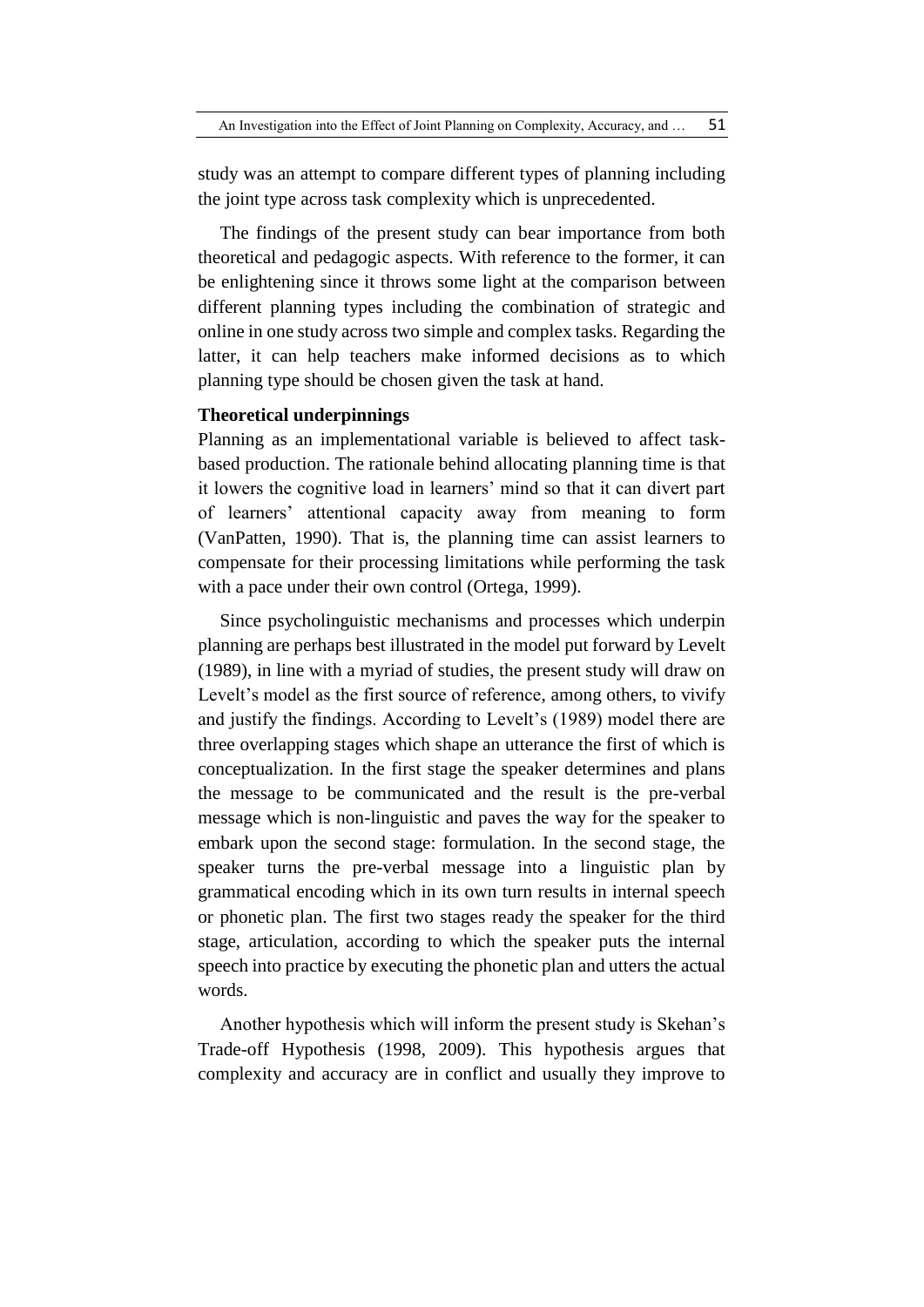study was an attempt to compare different types of planning including the joint type across task complexity which is unprecedented.

The findings of the present study can bear importance from both theoretical and pedagogic aspects. With reference to the former, it can be enlightening since it throws some light at the comparison between different planning types including the combination of strategic and online in one study across two simple and complex tasks. Regarding the latter, it can help teachers make informed decisions as to which planning type should be chosen given the task at hand.

### **Theoretical underpinnings**

Planning as an implementational variable is believed to affect taskbased production. The rationale behind allocating planning time is that it lowers the cognitive load in learners' mind so that it can divert part of learners' attentional capacity away from meaning to form (VanPatten, 1990). That is, the planning time can assist learners to compensate for their processing limitations while performing the task with a pace under their own control (Ortega, 1999).

Since psycholinguistic mechanisms and processes which underpin planning are perhaps best illustrated in the model put forward by Levelt (1989), in line with a myriad of studies, the present study will draw on Levelt's model as the first source of reference, among others, to vivify and justify the findings. According to Levelt's (1989) model there are three overlapping stages which shape an utterance the first of which is conceptualization. In the first stage the speaker determines and plans the message to be communicated and the result is the pre-verbal message which is non-linguistic and paves the way for the speaker to embark upon the second stage: formulation. In the second stage, the speaker turns the pre-verbal message into a linguistic plan by grammatical encoding which in its own turn results in internal speech or phonetic plan. The first two stages ready the speaker for the third stage, articulation, according to which the speaker puts the internal speech into practice by executing the phonetic plan and utters the actual words.

Another hypothesis which will inform the present study is Skehan's Trade-off Hypothesis (1998, 2009). This hypothesis argues that complexity and accuracy are in conflict and usually they improve to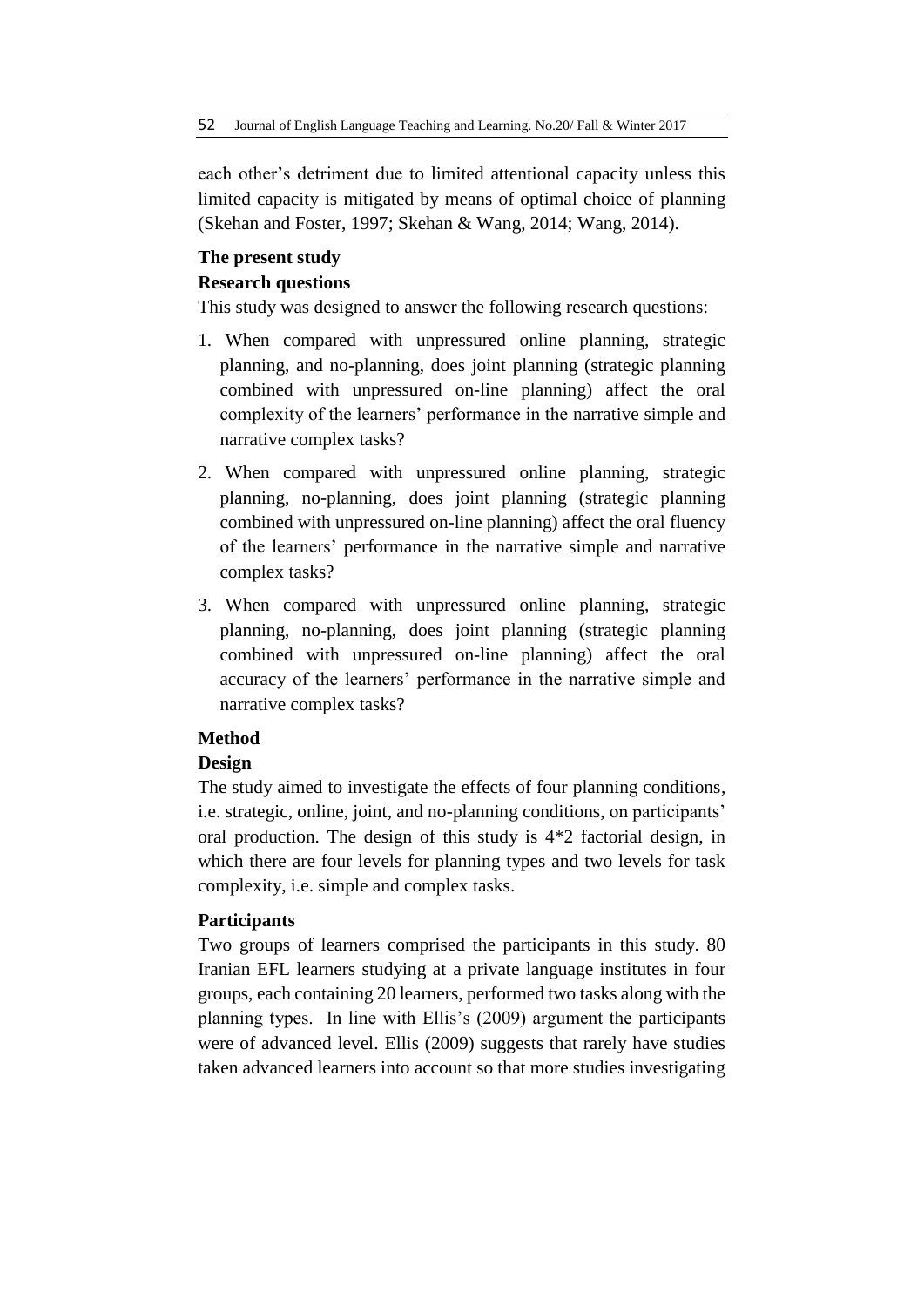each other's detriment due to limited attentional capacity unless this limited capacity is mitigated by means of optimal choice of planning (Skehan and Foster, 1997; Skehan & Wang, 2014; Wang, 2014).

# **The present study**

# **Research questions**

This study was designed to answer the following research questions:

- 1. When compared with unpressured online planning, strategic planning, and no-planning, does joint planning (strategic planning combined with unpressured on-line planning) affect the oral complexity of the learners' performance in the narrative simple and narrative complex tasks?
- 2. When compared with unpressured online planning, strategic planning, no-planning, does joint planning (strategic planning combined with unpressured on-line planning) affect the oral fluency of the learners' performance in the narrative simple and narrative complex tasks?
- 3. When compared with unpressured online planning, strategic planning, no-planning, does joint planning (strategic planning combined with unpressured on-line planning) affect the oral accuracy of the learners' performance in the narrative simple and narrative complex tasks?

# **Method**

# **Design**

The study aimed to investigate the effects of four planning conditions, i.e. strategic, online, joint, and no-planning conditions, on participants' oral production. The design of this study is 4\*2 factorial design, in which there are four levels for planning types and two levels for task complexity, i.e. simple and complex tasks.

# **Participants**

Two groups of learners comprised the participants in this study. 80 Iranian EFL learners studying at a private language institutes in four groups, each containing 20 learners, performed two tasks along with the planning types. In line with Ellis's (2009) argument the participants were of advanced level. Ellis (2009) suggests that rarely have studies taken advanced learners into account so that more studies investigating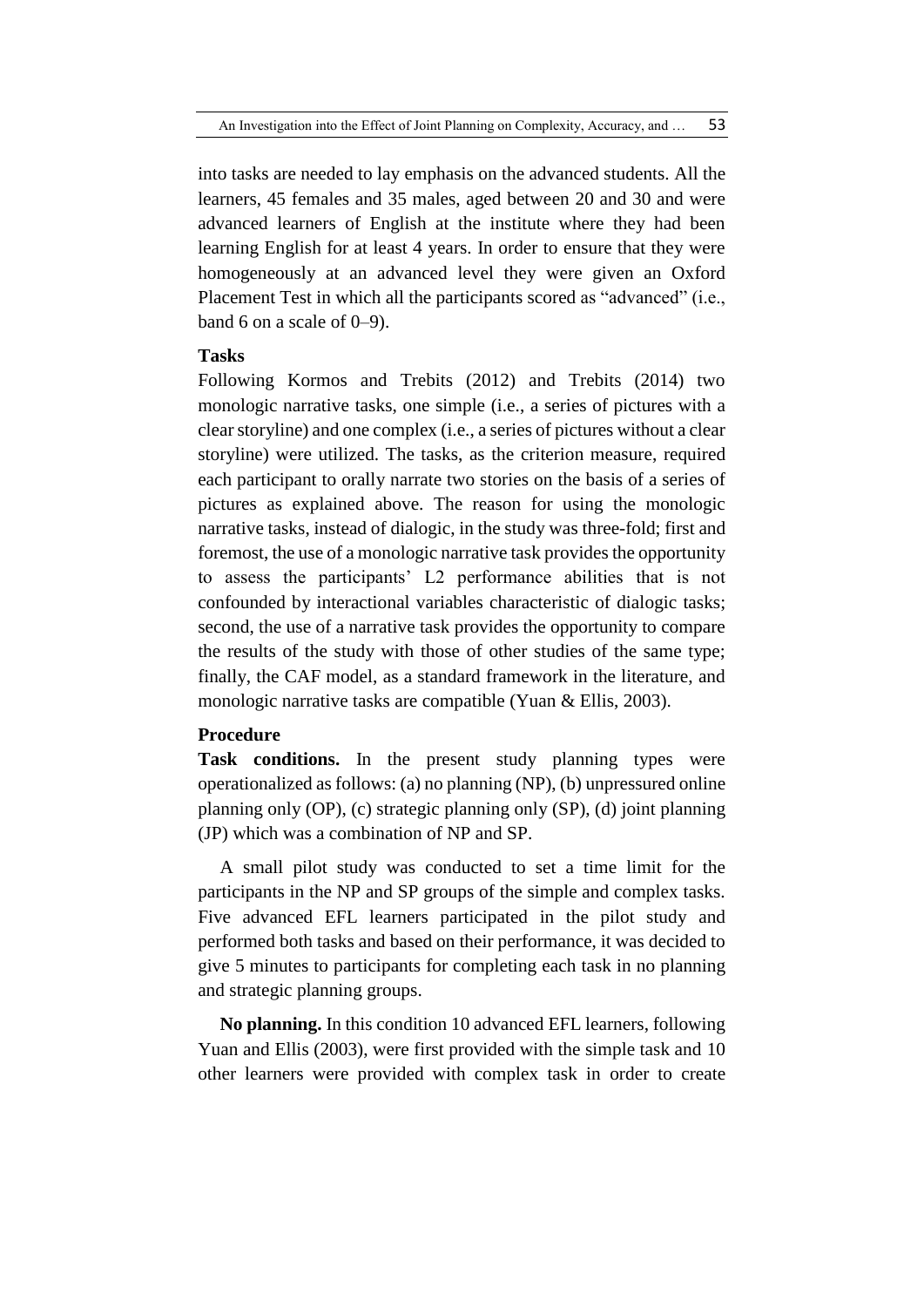into tasks are needed to lay emphasis on the advanced students. All the learners, 45 females and 35 males, aged between 20 and 30 and were advanced learners of English at the institute where they had been learning English for at least 4 years. In order to ensure that they were homogeneously at an advanced level they were given an Oxford Placement Test in which all the participants scored as "advanced" (i.e., band 6 on a scale of  $0-9$ ).

# **Tasks**

Following Kormos and Trebits (2012) and Trebits (2014) two monologic narrative tasks, one simple (i.e., a series of pictures with a clear storyline) and one complex (i.e., a series of pictures without a clear storyline) were utilized. The tasks, as the criterion measure, required each participant to orally narrate two stories on the basis of a series of pictures as explained above. The reason for using the monologic narrative tasks, instead of dialogic, in the study was three-fold; first and foremost, the use of a monologic narrative task provides the opportunity to assess the participants' L2 performance abilities that is not confounded by interactional variables characteristic of dialogic tasks; second, the use of a narrative task provides the opportunity to compare the results of the study with those of other studies of the same type; finally, the CAF model, as a standard framework in the literature, and monologic narrative tasks are compatible (Yuan & Ellis, 2003).

#### **Procedure**

**Task conditions.** In the present study planning types were operationalized as follows: (a) no planning (NP), (b) unpressured online planning only (OP), (c) strategic planning only (SP), (d) joint planning (JP) which was a combination of NP and SP.

A small pilot study was conducted to set a time limit for the participants in the NP and SP groups of the simple and complex tasks. Five advanced EFL learners participated in the pilot study and performed both tasks and based on their performance, it was decided to give 5 minutes to participants for completing each task in no planning and strategic planning groups.

**No planning.** In this condition 10 advanced EFL learners, following Yuan and Ellis (2003), were first provided with the simple task and 10 other learners were provided with complex task in order to create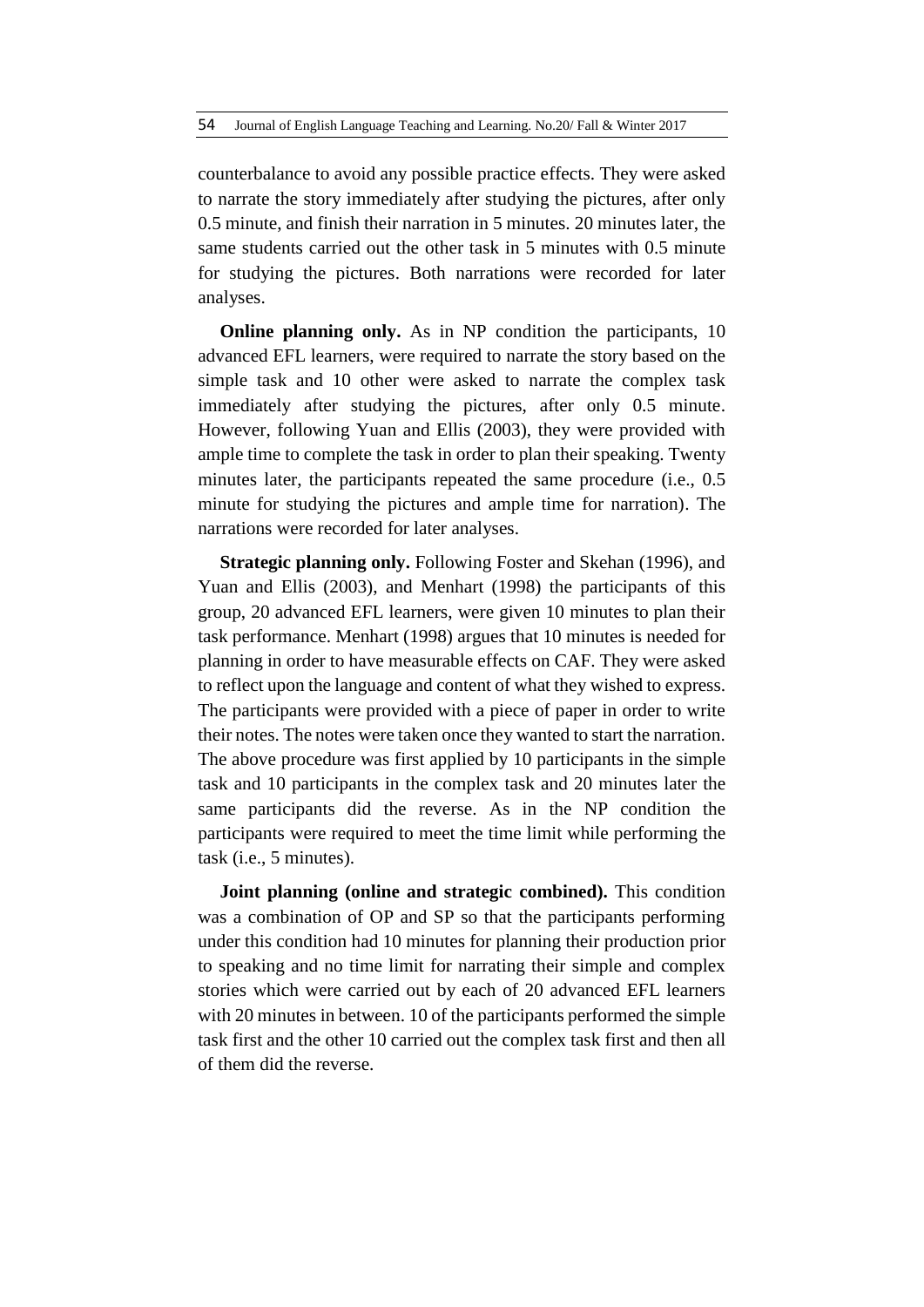counterbalance to avoid any possible practice effects. They were asked to narrate the story immediately after studying the pictures, after only 0.5 minute, and finish their narration in 5 minutes. 20 minutes later, the same students carried out the other task in 5 minutes with 0.5 minute for studying the pictures. Both narrations were recorded for later analyses.

**Online planning only.** As in NP condition the participants, 10 advanced EFL learners, were required to narrate the story based on the simple task and 10 other were asked to narrate the complex task immediately after studying the pictures, after only 0.5 minute. However, following Yuan and Ellis (2003), they were provided with ample time to complete the task in order to plan their speaking. Twenty minutes later, the participants repeated the same procedure (i.e., 0.5 minute for studying the pictures and ample time for narration). The narrations were recorded for later analyses.

**Strategic planning only.** Following Foster and Skehan (1996), and Yuan and Ellis (2003), and Menhart (1998) the participants of this group, 20 advanced EFL learners, were given 10 minutes to plan their task performance. Menhart (1998) argues that 10 minutes is needed for planning in order to have measurable effects on CAF. They were asked to reflect upon the language and content of what they wished to express. The participants were provided with a piece of paper in order to write their notes. The notes were taken once they wanted to start the narration. The above procedure was first applied by 10 participants in the simple task and 10 participants in the complex task and 20 minutes later the same participants did the reverse. As in the NP condition the participants were required to meet the time limit while performing the task (i.e., 5 minutes).

**Joint planning (online and strategic combined).** This condition was a combination of OP and SP so that the participants performing under this condition had 10 minutes for planning their production prior to speaking and no time limit for narrating their simple and complex stories which were carried out by each of 20 advanced EFL learners with 20 minutes in between. 10 of the participants performed the simple task first and the other 10 carried out the complex task first and then all of them did the reverse.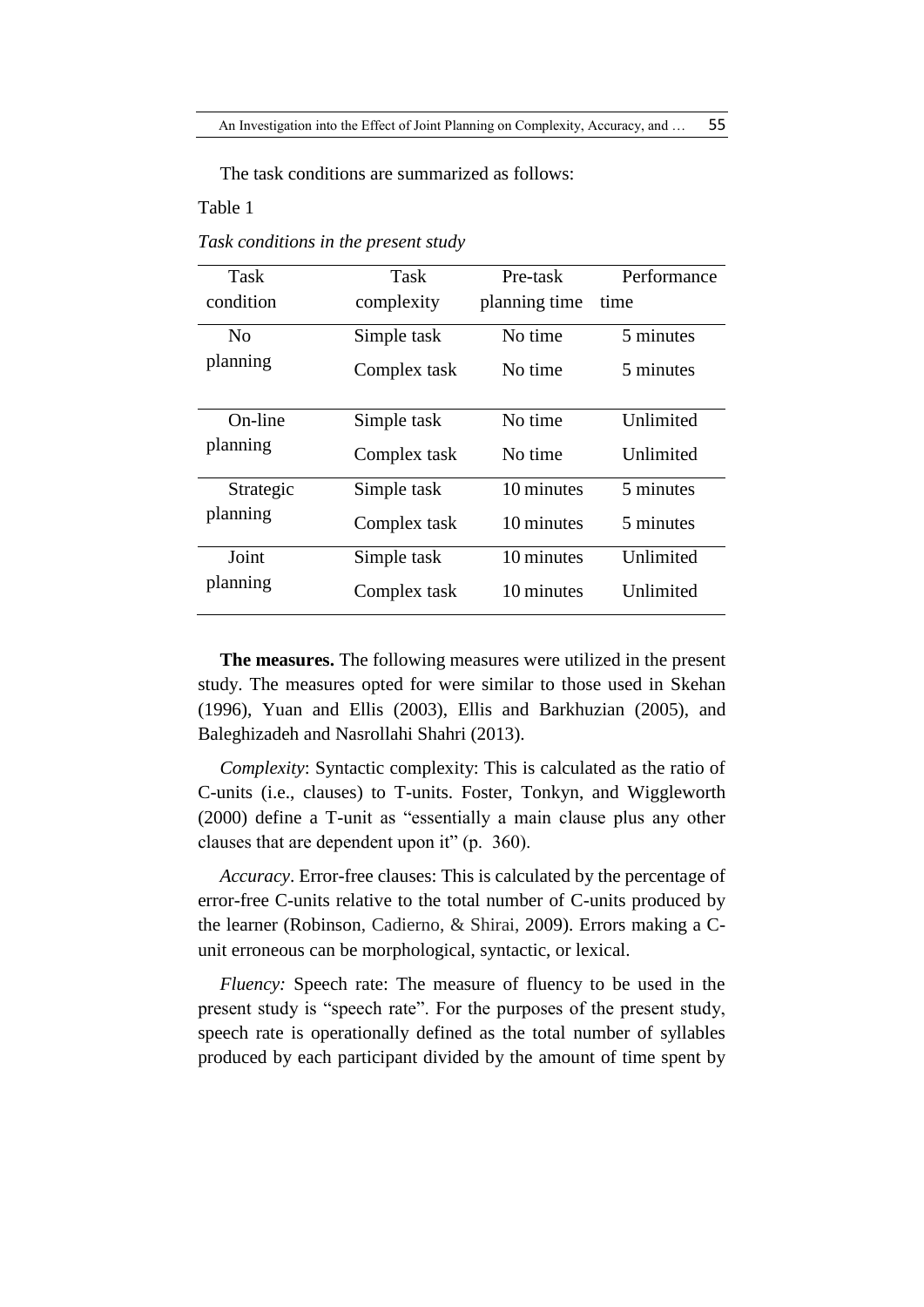The task conditions are summarized as follows:

# Table 1

| Task      | Task         | Pre-task      | Performance |
|-----------|--------------|---------------|-------------|
| condition | complexity   | planning time | time        |
| No        | Simple task  | No time       | 5 minutes   |
| planning  | Complex task | No time       | 5 minutes   |
| On-line   | Simple task  | No time       | Unlimited   |
| planning  | Complex task | No time       | Unlimited   |
| Strategic | Simple task  | 10 minutes    | 5 minutes   |
| planning  | Complex task | 10 minutes    | 5 minutes   |
| Joint     | Simple task  | 10 minutes    | Unlimited   |
| planning  | Complex task | 10 minutes    | Unlimited   |

*Task conditions in the present study*

**The measures.** The following measures were utilized in the present study. The measures opted for were similar to those used in Skehan (1996), Yuan and Ellis (2003), Ellis and Barkhuzian (2005), and Baleghizadeh and Nasrollahi Shahri (2013).

*Complexity*: Syntactic complexity: This is calculated as the ratio of C-units (i.e., clauses) to T-units. Foster, Tonkyn, and Wiggleworth (2000) define a T-unit as "essentially a main clause plus any other clauses that are dependent upon it" (p. 360).

*Accuracy*. Error-free clauses: This is calculated by the percentage of error-free C-units relative to the total number of C-units produced by the learner (Robinson, Cadierno, & Shirai, 2009). Errors making a Cunit erroneous can be morphological, syntactic, or lexical.

*Fluency:* Speech rate: The measure of fluency to be used in the present study is "speech rate". For the purposes of the present study, speech rate is operationally defined as the total number of syllables produced by each participant divided by the amount of time spent by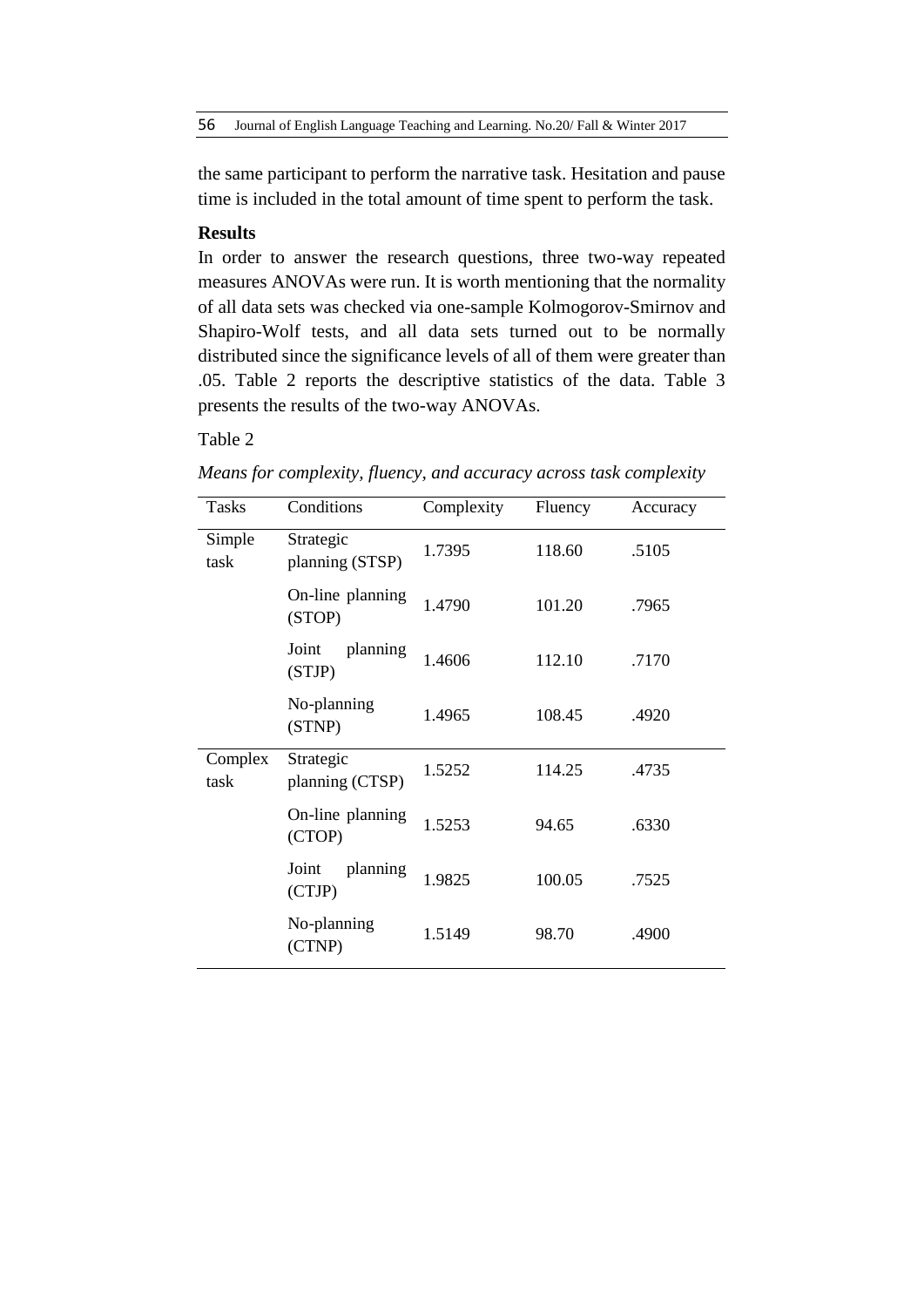the same participant to perform the narrative task. Hesitation and pause time is included in the total amount of time spent to perform the task.

# **Results**

In order to answer the research questions, three two-way repeated measures ANOVAs were run. It is worth mentioning that the normality of all data sets was checked via one-sample Kolmogorov-Smirnov and Shapiro-Wolf tests, and all data sets turned out to be normally distributed since the significance levels of all of them were greater than .05. Table 2 reports the descriptive statistics of the data. Table 3 presents the results of the two-way ANOVAs.

# Table 2

| Tasks           | Conditions                   | Complexity | Fluency | Accuracy |
|-----------------|------------------------------|------------|---------|----------|
| Simple<br>task  | Strategic<br>planning (STSP) | 1.7395     | 118.60  | .5105    |
|                 | On-line planning<br>(STOP)   | 1.4790     | 101.20  | .7965    |
|                 | Joint<br>planning<br>(STJP)  | 1.4606     | 112.10  | .7170    |
|                 | No-planning<br>(STNP)        | 1.4965     | 108.45  | .4920    |
| Complex<br>task | Strategic<br>planning (CTSP) | 1.5252     | 114.25  | .4735    |
|                 | On-line planning<br>(CTOP)   | 1.5253     | 94.65   | .6330    |
|                 | planning<br>Joint<br>(CTJP)  | 1.9825     | 100.05  | .7525    |
|                 | No-planning<br>(CTNP)        | 1.5149     | 98.70   | .4900    |

*Means for complexity, fluency, and accuracy across task complexity*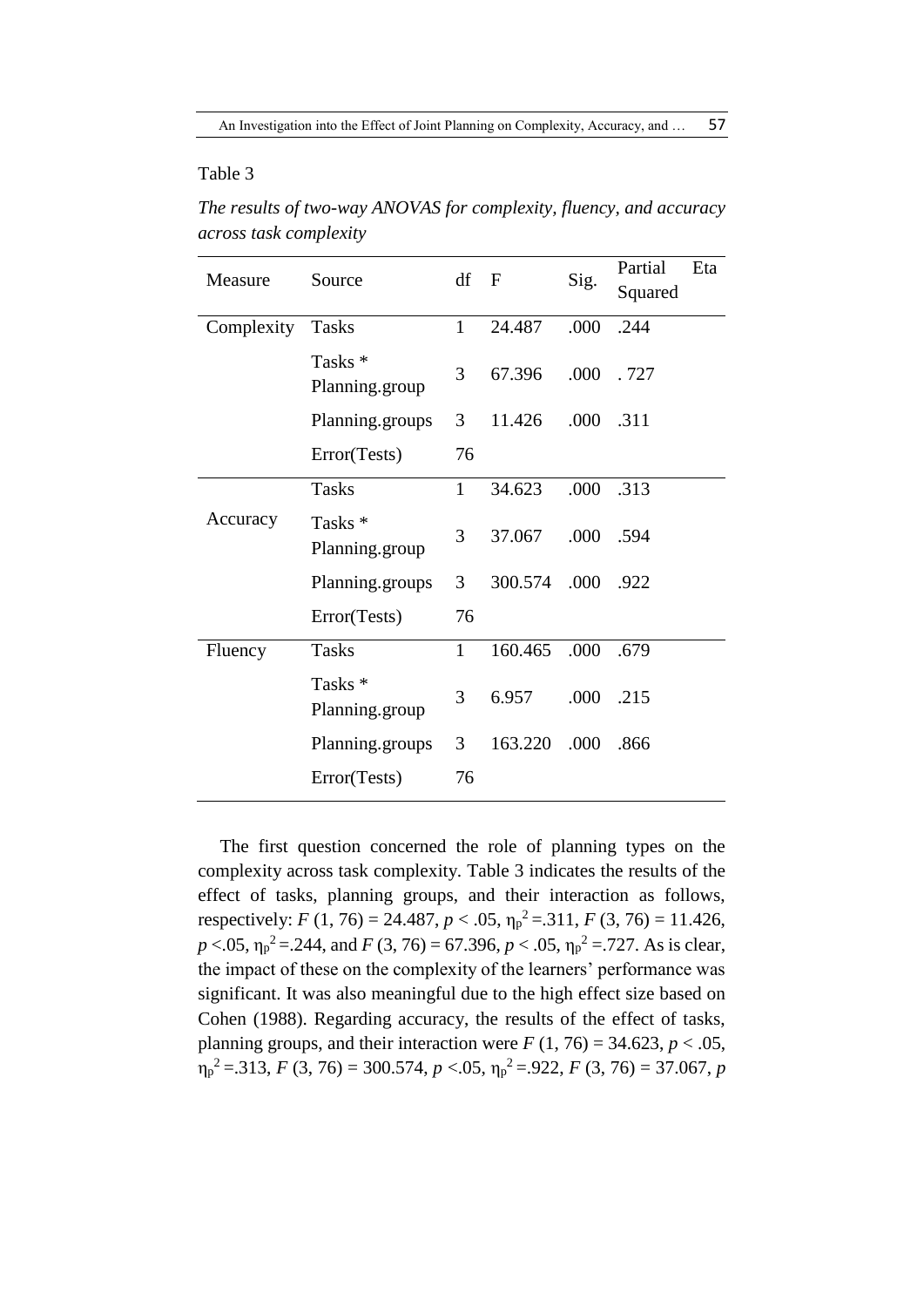# Table 3

*The results of two-way ANOVAS for complexity, fluency, and accuracy across task complexity*

| Measure    | Source                               | df F         |         | Sig. | Partial   | Eta |
|------------|--------------------------------------|--------------|---------|------|-----------|-----|
|            |                                      |              |         |      | Squared   |     |
| Complexity | <b>Tasks</b>                         | $\mathbf{1}$ | 24.487  | .000 | .244      |     |
|            | Tasks <sup>*</sup><br>Planning.group | 3            | 67.396  | .000 | .727      |     |
|            | Planning.groups                      | 3            | 11.426  |      | .000 .311 |     |
|            | Error(Tests)                         | 76           |         |      |           |     |
|            | <b>Tasks</b>                         | $\mathbf{1}$ | 34.623  | .000 | .313      |     |
| Accuracy   | Tasks <sup>*</sup><br>Planning.group | 3            | 37.067  | .000 | .594      |     |
|            | Planning.groups                      | 3            | 300.574 |      | .000 .922 |     |
|            | Error(Tests)                         | 76           |         |      |           |     |
| Fluency    | <b>Tasks</b>                         | $\mathbf{1}$ | 160.465 | .000 | .679      |     |
|            | Tasks <sup>*</sup><br>Planning.group | 3            | 6.957   | .000 | .215      |     |
|            | Planning.groups                      | 3            | 163.220 | .000 | .866      |     |
|            | Error(Tests)                         | 76           |         |      |           |     |

The first question concerned the role of planning types on the complexity across task complexity. Table 3 indicates the results of the effect of tasks, planning groups, and their interaction as follows, respectively: *F* (1, 76) = 24.487, *p* < .05,  $\eta_p^2$  = .311, *F* (3, 76) = 11.426,  $p < .05$ ,  $\eta_p^2 = .244$ , and  $F(3, 76) = 67.396$ ,  $p < .05$ ,  $\eta_p^2 = .727$ . As is clear, the impact of these on the complexity of the learners' performance was significant. It was also meaningful due to the high effect size based on Cohen (1988). Regarding accuracy, the results of the effect of tasks, planning groups, and their interaction were  $F(1, 76) = 34.623$ ,  $p < .05$ ,  $\eta_p^2 = 313$ , *F* (3, 76) = 300.574, *p* <.05,  $\eta_p^2 = 922$ , *F* (3, 76) = 37.067, *p*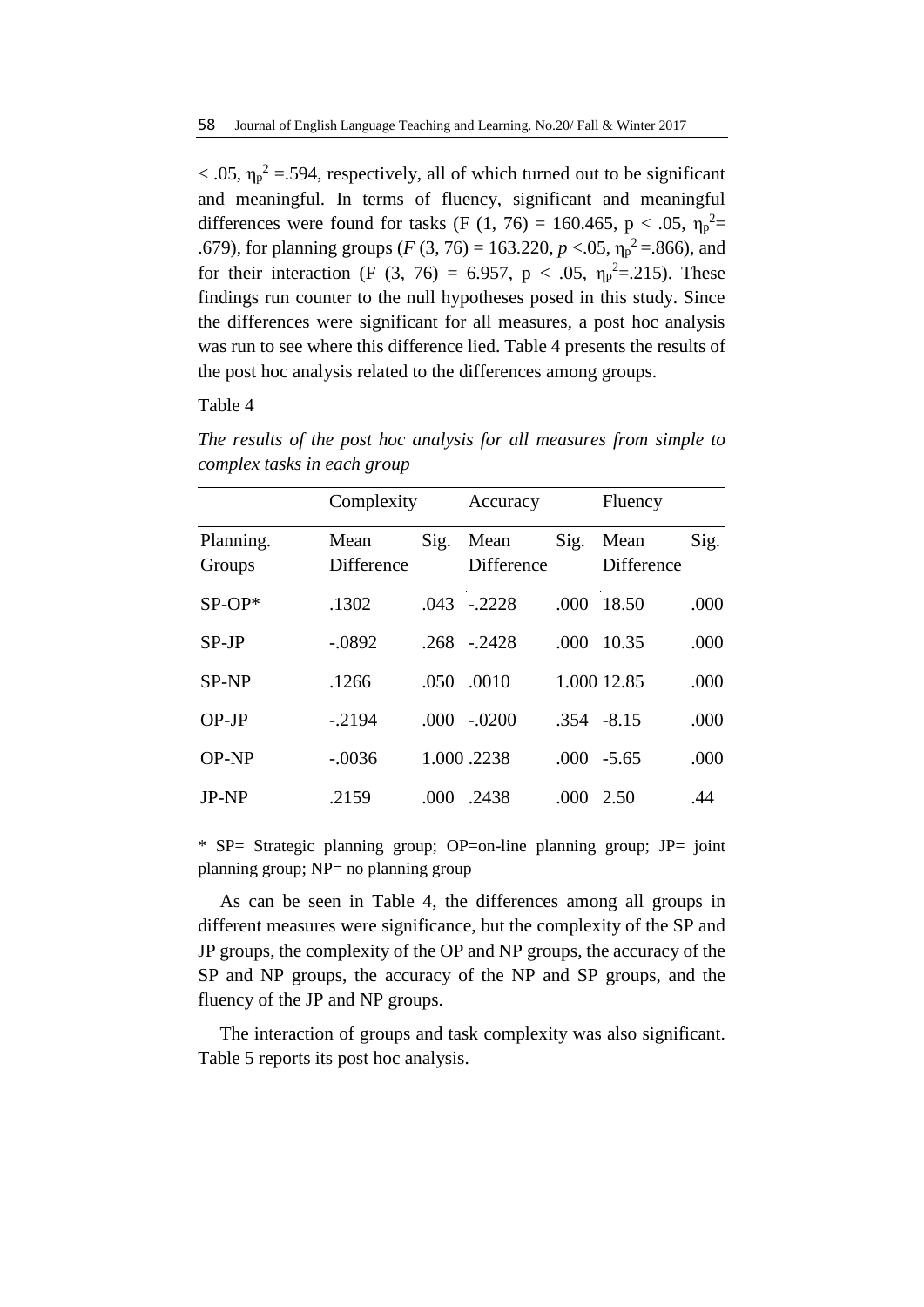$< .05$ ,  $\eta_p^2 = .594$ , respectively, all of which turned out to be significant and meaningful. In terms of fluency, significant and meaningful differences were found for tasks (F (1, 76) = 160.465, p < .05,  $\eta_p^2$  = .679), for planning groups ( $F(3, 76) = 163.220$ ,  $p < .05$ ,  $\eta_p^2 = .866$ ), and for their interaction (F (3, 76) = 6.957, p < .05,  $\eta_p^2 = 215$ ). These findings run counter to the null hypotheses posed in this study. Since the differences were significant for all measures, a post hoc analysis was run to see where this difference lied. Table 4 presents the results of the post hoc analysis related to the differences among groups.

### Table 4

|                     | Complexity                |      | Accuracy                  |      | Fluency                   |      |
|---------------------|---------------------------|------|---------------------------|------|---------------------------|------|
| Planning.<br>Groups | Mean<br><b>Difference</b> | Sig. | Mean<br><b>Difference</b> | Sig. | Mean<br><b>Difference</b> | Sig. |
| $SP-OP*$            | .1302                     | .043 | $-.2228$                  | .000 | 18.50                     | .000 |
| $SP-JP$             | $-.0892$                  | .268 | $-.2428$                  | .000 | 10.35                     | .000 |
| <b>SP-NP</b>        | .1266                     | .050 | .0010                     |      | 1.000 12.85               | .000 |
| $OP-JP$             | $-2194$                   | .000 | $-.0200$                  |      | $.354 - 8.15$             | .000 |
| <b>OP-NP</b>        | $-.0036$                  |      | 1.000.2238                | .000 | $-5.65$                   | .000 |
| <b>JP-NP</b>        | .2159                     | .000 | .2438                     | .000 | 2.50                      | .44  |
|                     |                           |      |                           |      |                           |      |

*The results of the post hoc analysis for all measures from simple to complex tasks in each group* 

\* SP= Strategic planning group; OP=on-line planning group; JP= joint planning group; NP= no planning group

As can be seen in Table 4, the differences among all groups in different measures were significance, but the complexity of the SP and JP groups, the complexity of the OP and NP groups, the accuracy of the SP and NP groups, the accuracy of the NP and SP groups, and the fluency of the JP and NP groups.

The interaction of groups and task complexity was also significant. Table 5 reports its post hoc analysis.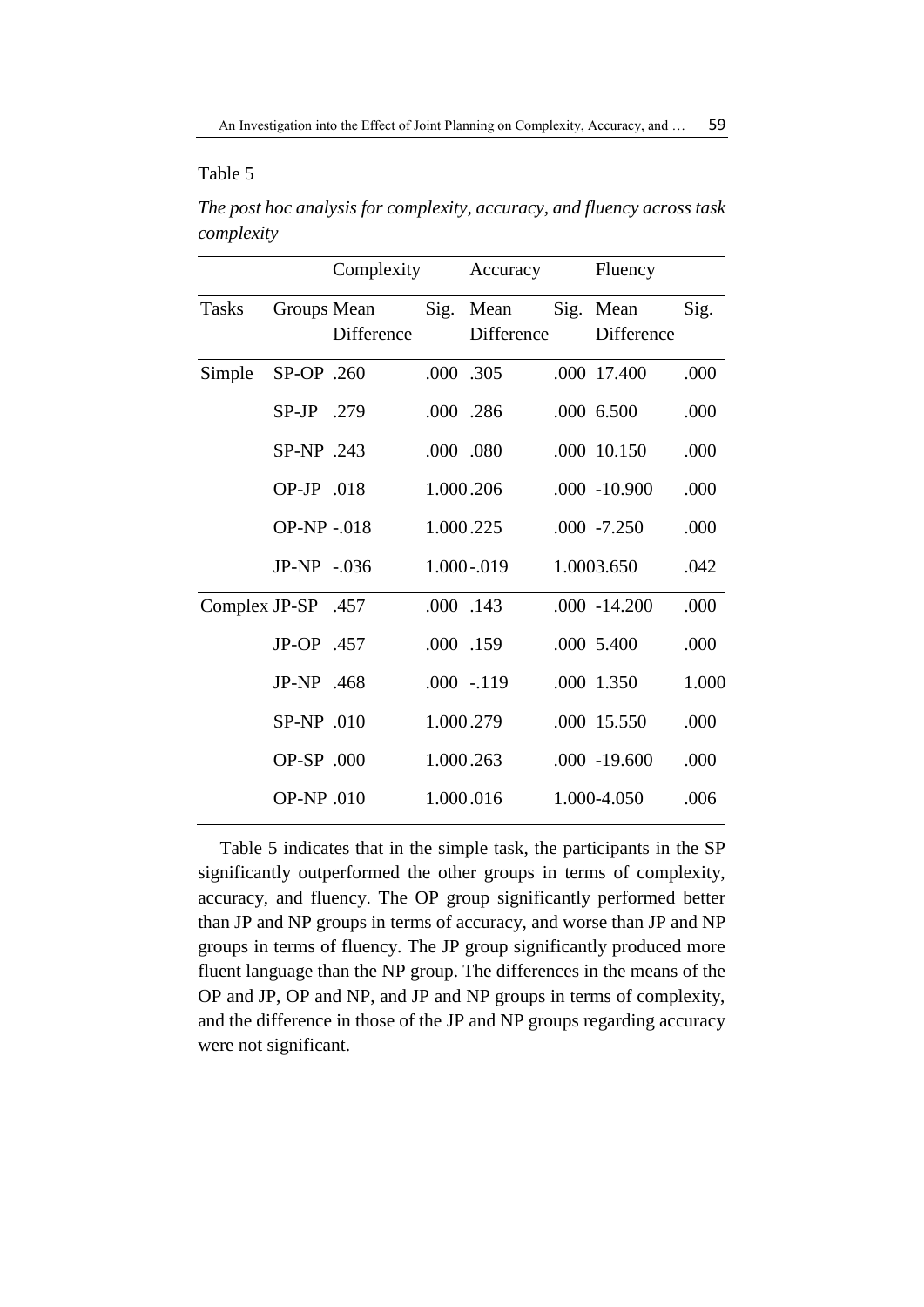# Table 5

*The post hoc analysis for complexity, accuracy, and fluency across task complexity*

|                    |                   | Complexity        |           | Accuracy                | Fluency                 |       |
|--------------------|-------------------|-------------------|-----------|-------------------------|-------------------------|-------|
| <b>Tasks</b>       | Groups Mean       | <b>Difference</b> |           | Sig. Mean<br>Difference | Sig. Mean<br>Difference | Sig.  |
| Simple             | SP-OP .260        |                   | .000 .305 |                         | .000 17.400             | .000  |
|                    | SP-JP .279        |                   | .000 .286 |                         | .000 6.500              | .000  |
|                    | SP-NP .243        |                   | .000 .080 |                         | .000 10.150             | .000  |
|                    | OP-JP $.018$      |                   | 1.000.206 |                         | $.000 - 10.900$         | .000  |
|                    | <b>OP-NP-.018</b> |                   | 1.000.225 |                         | $.000 -7.250$           | .000  |
|                    | $JP-NP - .036$    |                   |           | 1.000-.019              | 1.0003.650              | .042  |
| Complex JP-SP .457 |                   |                   | .000 .143 |                         | $.000 - 14.200$         | .000  |
|                    | JP-OP .457        |                   | .000 .159 |                         | .000 5.400              | .000  |
|                    | JP-NP .468        |                   |           | $.000 - 119$            | .000 1.350              | 1.000 |
|                    | $SP-NP$ .010      |                   | 1.000.279 |                         | .000 15.550             | .000  |
|                    | OP-SP .000        |                   | 1.000.263 |                         | $.000 - 19.600$         | .000  |
|                    | OP-NP .010        |                   | 1.000.016 |                         | 1.000-4.050             | .006  |
|                    |                   |                   |           |                         |                         |       |

Table 5 indicates that in the simple task, the participants in the SP significantly outperformed the other groups in terms of complexity, accuracy, and fluency. The OP group significantly performed better than JP and NP groups in terms of accuracy, and worse than JP and NP groups in terms of fluency. The JP group significantly produced more fluent language than the NP group. The differences in the means of the OP and JP, OP and NP, and JP and NP groups in terms of complexity, and the difference in those of the JP and NP groups regarding accuracy were not significant.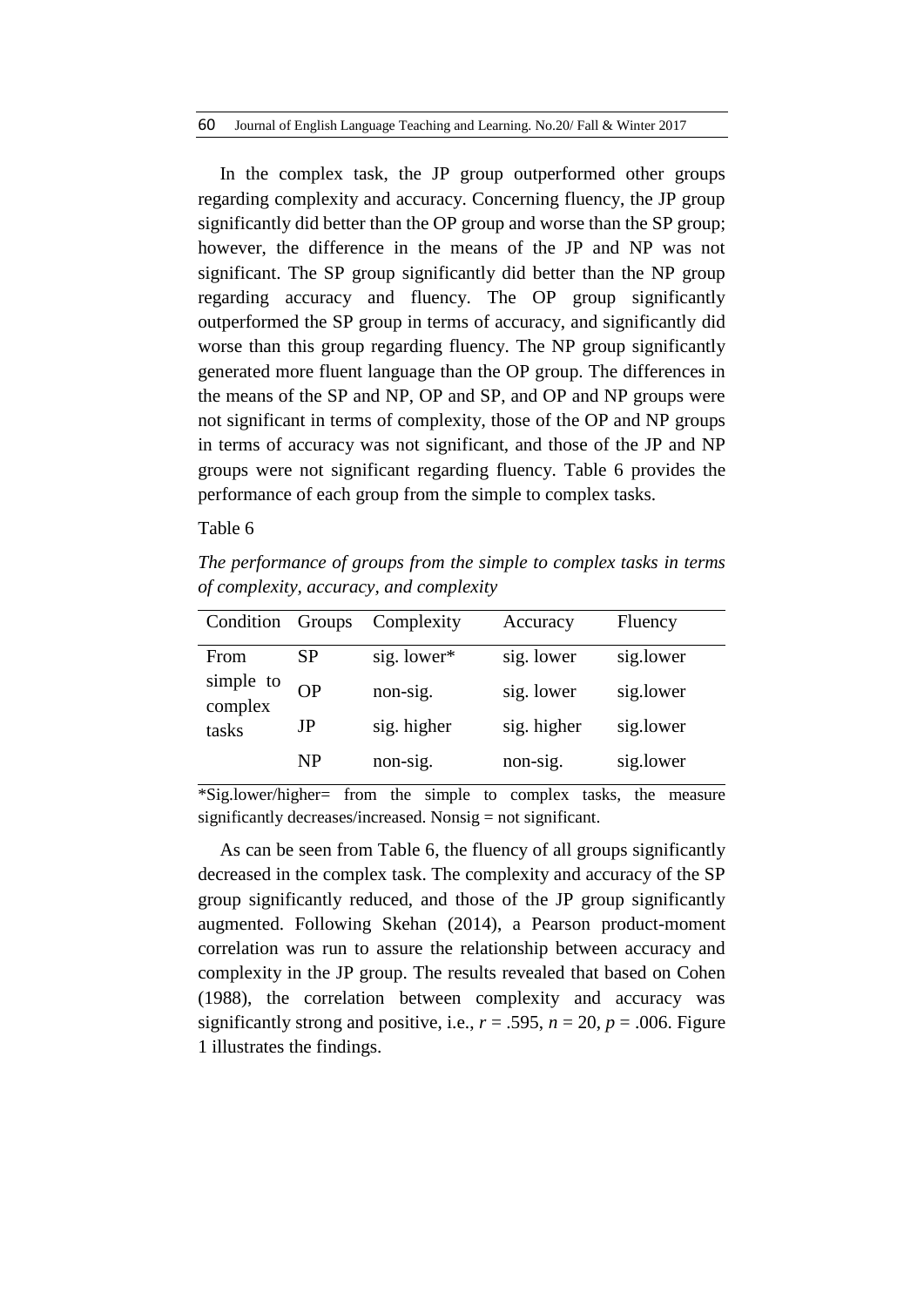In the complex task, the JP group outperformed other groups regarding complexity and accuracy. Concerning fluency, the JP group significantly did better than the OP group and worse than the SP group; however, the difference in the means of the JP and NP was not significant. The SP group significantly did better than the NP group regarding accuracy and fluency. The OP group significantly outperformed the SP group in terms of accuracy, and significantly did worse than this group regarding fluency. The NP group significantly generated more fluent language than the OP group. The differences in the means of the SP and NP, OP and SP, and OP and NP groups were not significant in terms of complexity, those of the OP and NP groups in terms of accuracy was not significant, and those of the JP and NP groups were not significant regarding fluency. Table 6 provides the performance of each group from the simple to complex tasks.

# Table 6

*The performance of groups from the simple to complex tasks in terms of complexity, accuracy, and complexity*

| Condition            | Groups    | Complexity  | Accuracy    | Fluency   |
|----------------------|-----------|-------------|-------------|-----------|
| From                 | SP        | sig. lower* | sig. lower  | sig.lower |
| simple to<br>complex | <b>OP</b> | non-sig.    | sig. lower  | sig.lower |
| tasks                | JP        | sig. higher | sig. higher | sig.lower |
|                      | NP        | non-sig.    | non-sig.    | sig.lower |

\*Sig.lower/higher= from the simple to complex tasks, the measure significantly decreases/increased. Nonsig = not significant.

As can be seen from Table 6, the fluency of all groups significantly decreased in the complex task. The complexity and accuracy of the SP group significantly reduced, and those of the JP group significantly augmented. Following Skehan (2014), a Pearson product-moment correlation was run to assure the relationship between accuracy and complexity in the JP group. The results revealed that based on Cohen (1988), the correlation between complexity and accuracy was significantly strong and positive, i.e.,  $r = .595$ ,  $n = 20$ ,  $p = .006$ . Figure 1 illustrates the findings.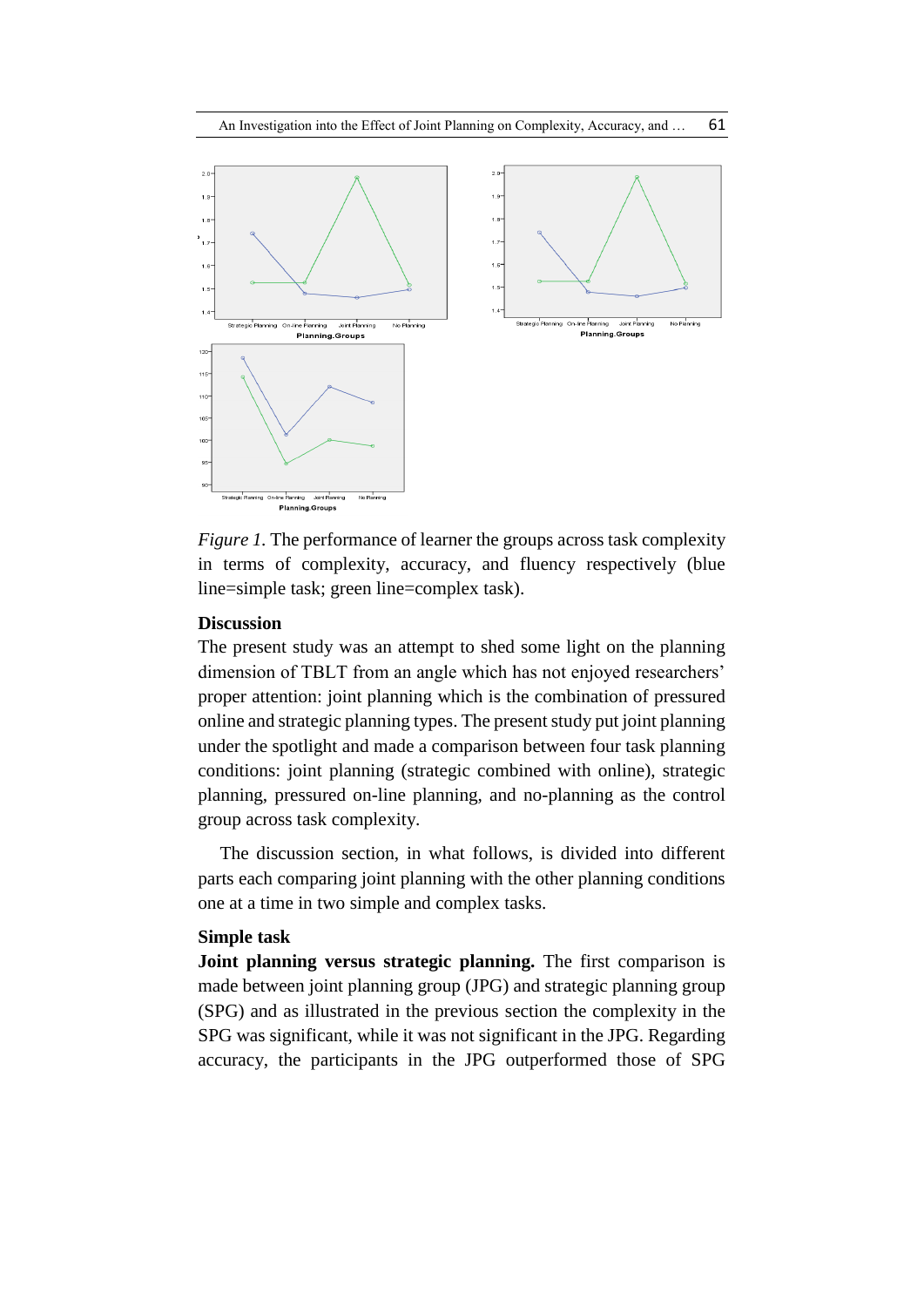

*Figure 1.* The performance of learner the groups across task complexity in terms of complexity, accuracy, and fluency respectively (blue line=simple task; green line=complex task).

#### **Discussion**

The present study was an attempt to shed some light on the planning dimension of TBLT from an angle which has not enjoyed researchers' proper attention: joint planning which is the combination of pressured online and strategic planning types. The present study put joint planning under the spotlight and made a comparison between four task planning conditions: joint planning (strategic combined with online), strategic planning, pressured on-line planning, and no-planning as the control group across task complexity.

The discussion section, in what follows, is divided into different parts each comparing joint planning with the other planning conditions one at a time in two simple and complex tasks.

#### **Simple task**

**Joint planning versus strategic planning.** The first comparison is made between joint planning group (JPG) and strategic planning group (SPG) and as illustrated in the previous section the complexity in the SPG was significant, while it was not significant in the JPG. Regarding accuracy, the participants in the JPG outperformed those of SPG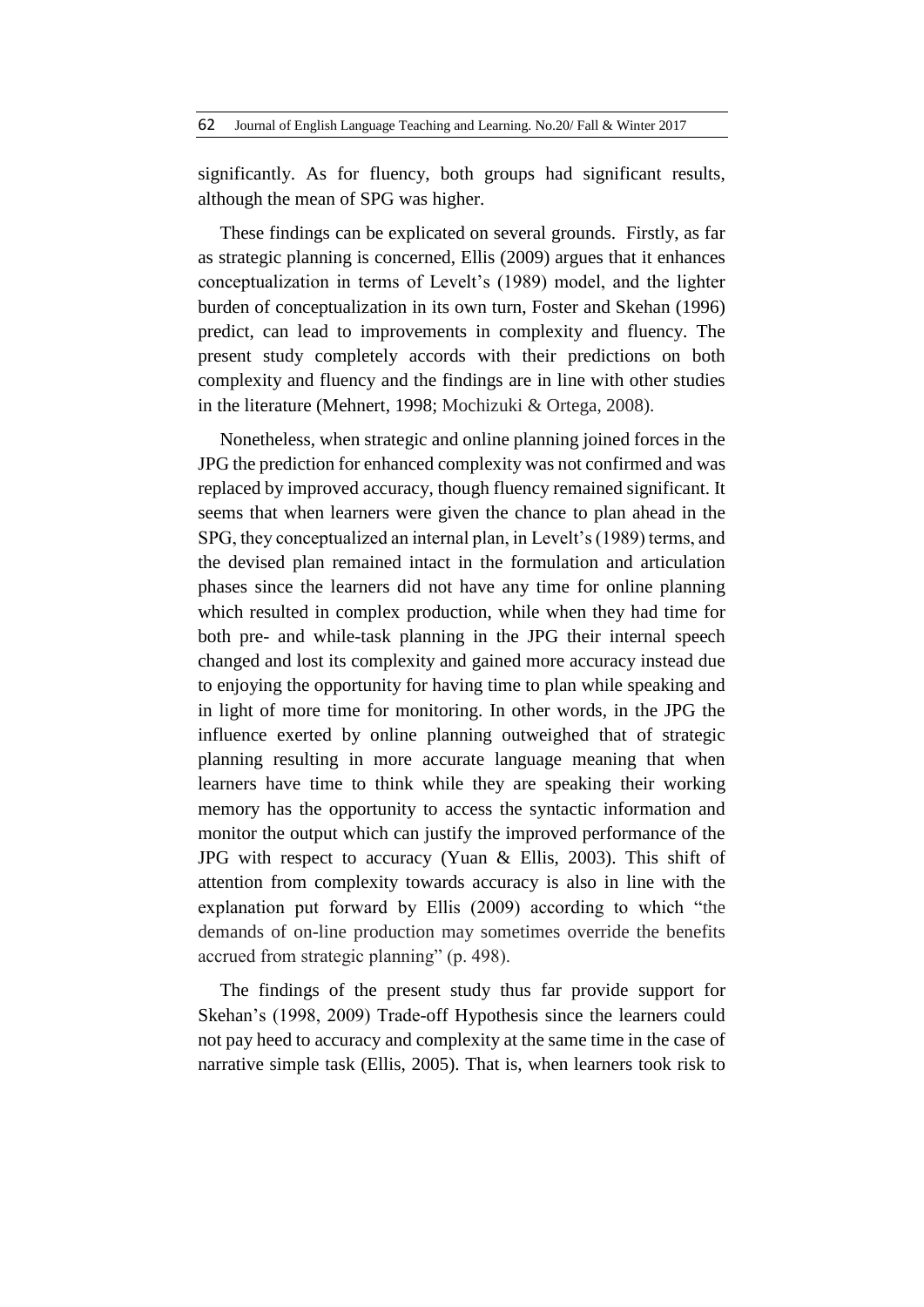significantly. As for fluency, both groups had significant results, although the mean of SPG was higher.

These findings can be explicated on several grounds. Firstly, as far as strategic planning is concerned, Ellis (2009) argues that it enhances conceptualization in terms of Levelt's (1989) model, and the lighter burden of conceptualization in its own turn, Foster and Skehan (1996) predict, can lead to improvements in complexity and fluency. The present study completely accords with their predictions on both complexity and fluency and the findings are in line with other studies in the literature (Mehnert, 1998; Mochizuki & Ortega, 2008).

Nonetheless, when strategic and online planning joined forces in the JPG the prediction for enhanced complexity was not confirmed and was replaced by improved accuracy, though fluency remained significant. It seems that when learners were given the chance to plan ahead in the SPG, they conceptualized an internal plan, in Levelt's (1989) terms, and the devised plan remained intact in the formulation and articulation phases since the learners did not have any time for online planning which resulted in complex production, while when they had time for both pre- and while-task planning in the JPG their internal speech changed and lost its complexity and gained more accuracy instead due to enjoying the opportunity for having time to plan while speaking and in light of more time for monitoring. In other words, in the JPG the influence exerted by online planning outweighed that of strategic planning resulting in more accurate language meaning that when learners have time to think while they are speaking their working memory has the opportunity to access the syntactic information and monitor the output which can justify the improved performance of the JPG with respect to accuracy (Yuan & Ellis, 2003). This shift of attention from complexity towards accuracy is also in line with the explanation put forward by Ellis (2009) according to which "the demands of on-line production may sometimes override the benefits accrued from strategic planning" (p. 498).

The findings of the present study thus far provide support for Skehan's (1998, 2009) Trade-off Hypothesis since the learners could not pay heed to accuracy and complexity at the same time in the case of narrative simple task (Ellis, 2005). That is, when learners took risk to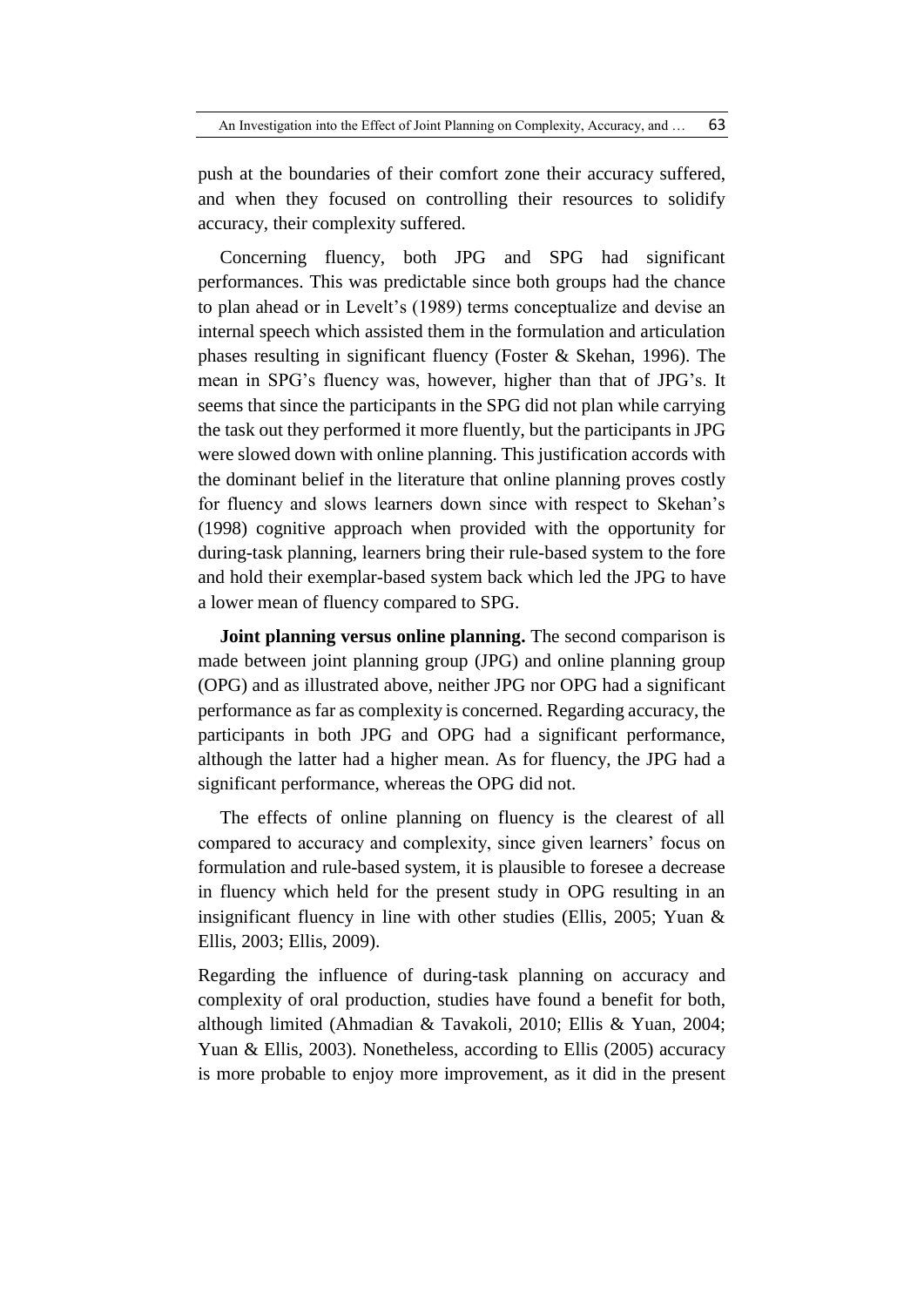push at the boundaries of their comfort zone their accuracy suffered, and when they focused on controlling their resources to solidify accuracy, their complexity suffered.

Concerning fluency, both JPG and SPG had significant performances. This was predictable since both groups had the chance to plan ahead or in Levelt's (1989) terms conceptualize and devise an internal speech which assisted them in the formulation and articulation phases resulting in significant fluency (Foster & Skehan, 1996). The mean in SPG's fluency was, however, higher than that of JPG's. It seems that since the participants in the SPG did not plan while carrying the task out they performed it more fluently, but the participants in JPG were slowed down with online planning. This justification accords with the dominant belief in the literature that online planning proves costly for fluency and slows learners down since with respect to Skehan's (1998) cognitive approach when provided with the opportunity for during-task planning, learners bring their rule-based system to the fore and hold their exemplar-based system back which led the JPG to have a lower mean of fluency compared to SPG.

**Joint planning versus online planning.** The second comparison is made between joint planning group (JPG) and online planning group (OPG) and as illustrated above, neither JPG nor OPG had a significant performance as far as complexity is concerned. Regarding accuracy, the participants in both JPG and OPG had a significant performance, although the latter had a higher mean. As for fluency, the JPG had a significant performance, whereas the OPG did not.

The effects of online planning on fluency is the clearest of all compared to accuracy and complexity, since given learners' focus on formulation and rule-based system, it is plausible to foresee a decrease in fluency which held for the present study in OPG resulting in an insignificant fluency in line with other studies (Ellis, 2005; Yuan & Ellis, 2003; Ellis, 2009).

Regarding the influence of during-task planning on accuracy and complexity of oral production, studies have found a benefit for both, although limited (Ahmadian & Tavakoli, 2010; Ellis & Yuan, 2004; Yuan & Ellis, 2003). Nonetheless, according to Ellis (2005) accuracy is more probable to enjoy more improvement, as it did in the present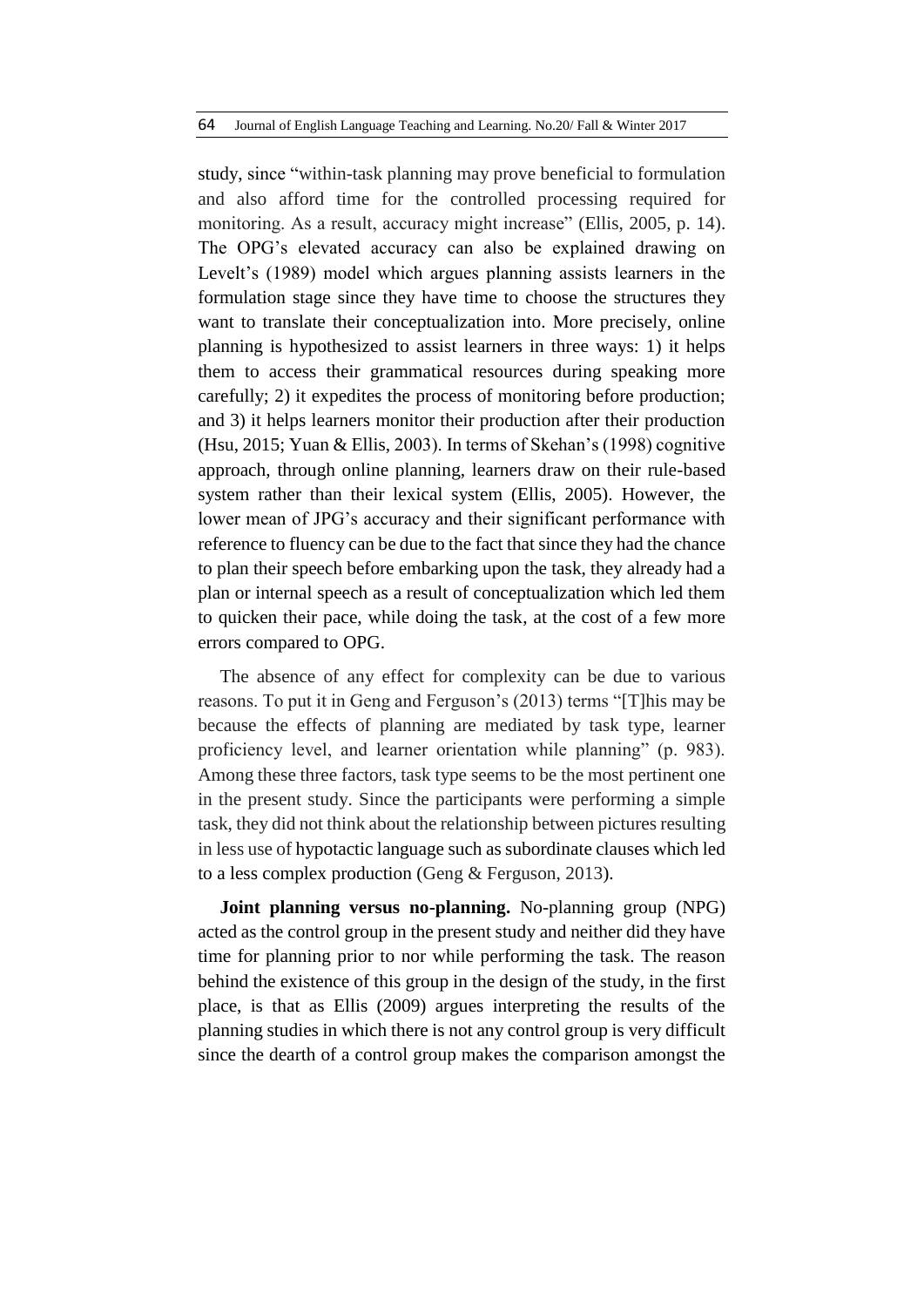#### 64 Journal of English Language Teaching and Learning. No.20/ Fall & Winter 2017

study, since "within-task planning may prove beneficial to formulation and also afford time for the controlled processing required for monitoring. As a result, accuracy might increase" (Ellis, 2005, p. 14). The OPG's elevated accuracy can also be explained drawing on Levelt's (1989) model which argues planning assists learners in the formulation stage since they have time to choose the structures they want to translate their conceptualization into. More precisely, online planning is hypothesized to assist learners in three ways: 1) it helps them to access their grammatical resources during speaking more carefully; 2) it expedites the process of monitoring before production; and 3) it helps learners monitor their production after their production (Hsu, 2015; Yuan & Ellis, 2003). In terms of Skehan's (1998) cognitive approach, through online planning, learners draw on their rule-based system rather than their lexical system (Ellis, 2005). However, the lower mean of JPG's accuracy and their significant performance with reference to fluency can be due to the fact that since they had the chance to plan their speech before embarking upon the task, they already had a plan or internal speech as a result of conceptualization which led them to quicken their pace, while doing the task, at the cost of a few more errors compared to OPG.

The absence of any effect for complexity can be due to various reasons. To put it in Geng and Ferguson's (2013) terms "[T]his may be because the effects of planning are mediated by task type, learner proficiency level, and learner orientation while planning" (p. 983). Among these three factors, task type seems to be the most pertinent one in the present study. Since the participants were performing a simple task, they did not think about the relationship between pictures resulting in less use of hypotactic language such as subordinate clauses which led to a less complex production (Geng & Ferguson, 2013).

**Joint planning versus no-planning.** No-planning group (NPG) acted as the control group in the present study and neither did they have time for planning prior to nor while performing the task. The reason behind the existence of this group in the design of the study, in the first place, is that as Ellis (2009) argues interpreting the results of the planning studies in which there is not any control group is very difficult since the dearth of a control group makes the comparison amongst the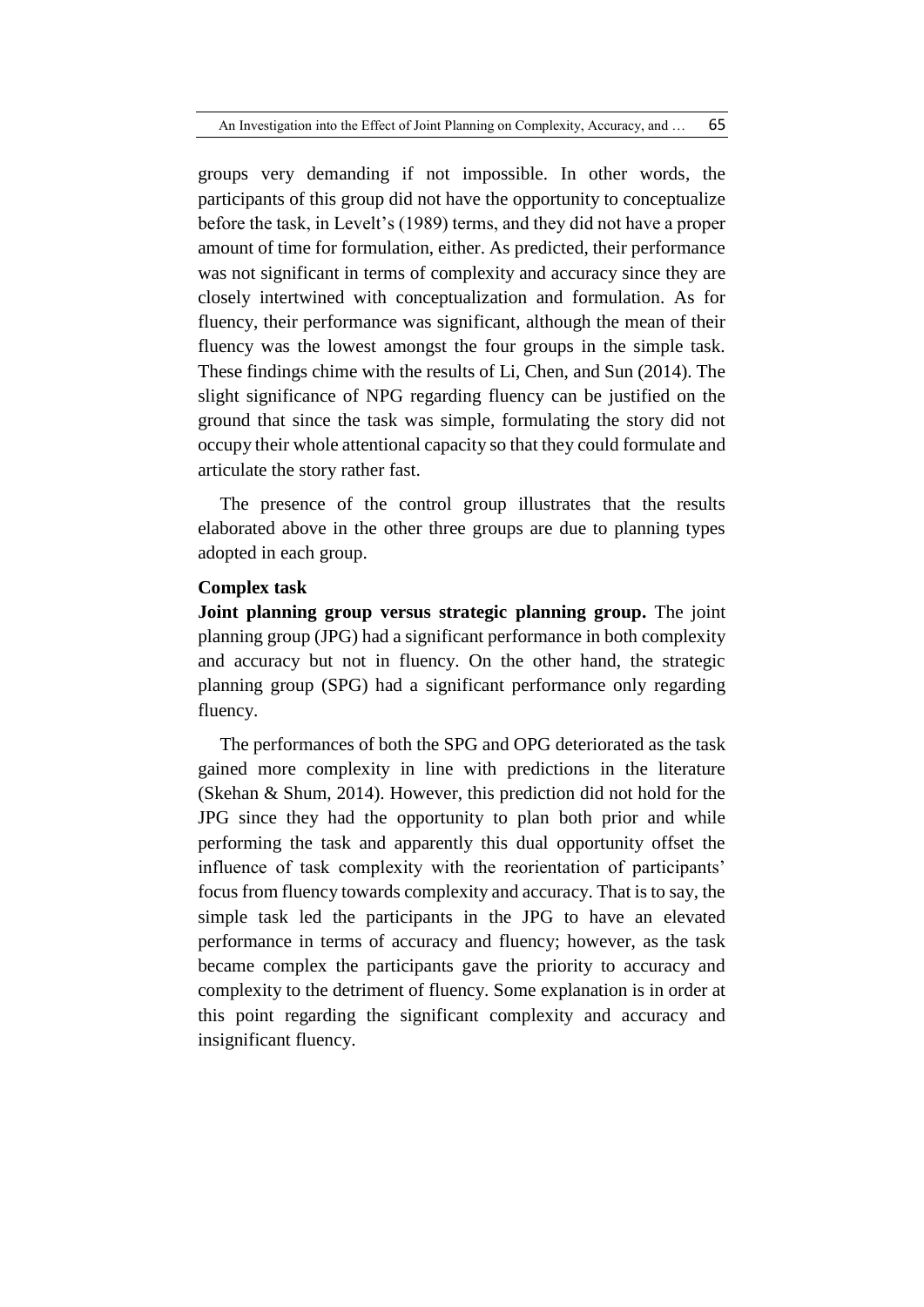groups very demanding if not impossible. In other words, the participants of this group did not have the opportunity to conceptualize before the task, in Levelt's (1989) terms, and they did not have a proper amount of time for formulation, either. As predicted, their performance was not significant in terms of complexity and accuracy since they are closely intertwined with conceptualization and formulation. As for fluency, their performance was significant, although the mean of their fluency was the lowest amongst the four groups in the simple task. These findings chime with the results of Li, Chen, and Sun (2014). The slight significance of NPG regarding fluency can be justified on the ground that since the task was simple, formulating the story did not occupy their whole attentional capacity so that they could formulate and articulate the story rather fast.

The presence of the control group illustrates that the results elaborated above in the other three groups are due to planning types adopted in each group.

# **Complex task**

**Joint planning group versus strategic planning group.** The joint planning group (JPG) had a significant performance in both complexity and accuracy but not in fluency. On the other hand, the strategic planning group (SPG) had a significant performance only regarding fluency.

The performances of both the SPG and OPG deteriorated as the task gained more complexity in line with predictions in the literature (Skehan & Shum, 2014). However, this prediction did not hold for the JPG since they had the opportunity to plan both prior and while performing the task and apparently this dual opportunity offset the influence of task complexity with the reorientation of participants' focus from fluency towards complexity and accuracy. That is to say, the simple task led the participants in the JPG to have an elevated performance in terms of accuracy and fluency; however, as the task became complex the participants gave the priority to accuracy and complexity to the detriment of fluency. Some explanation is in order at this point regarding the significant complexity and accuracy and insignificant fluency.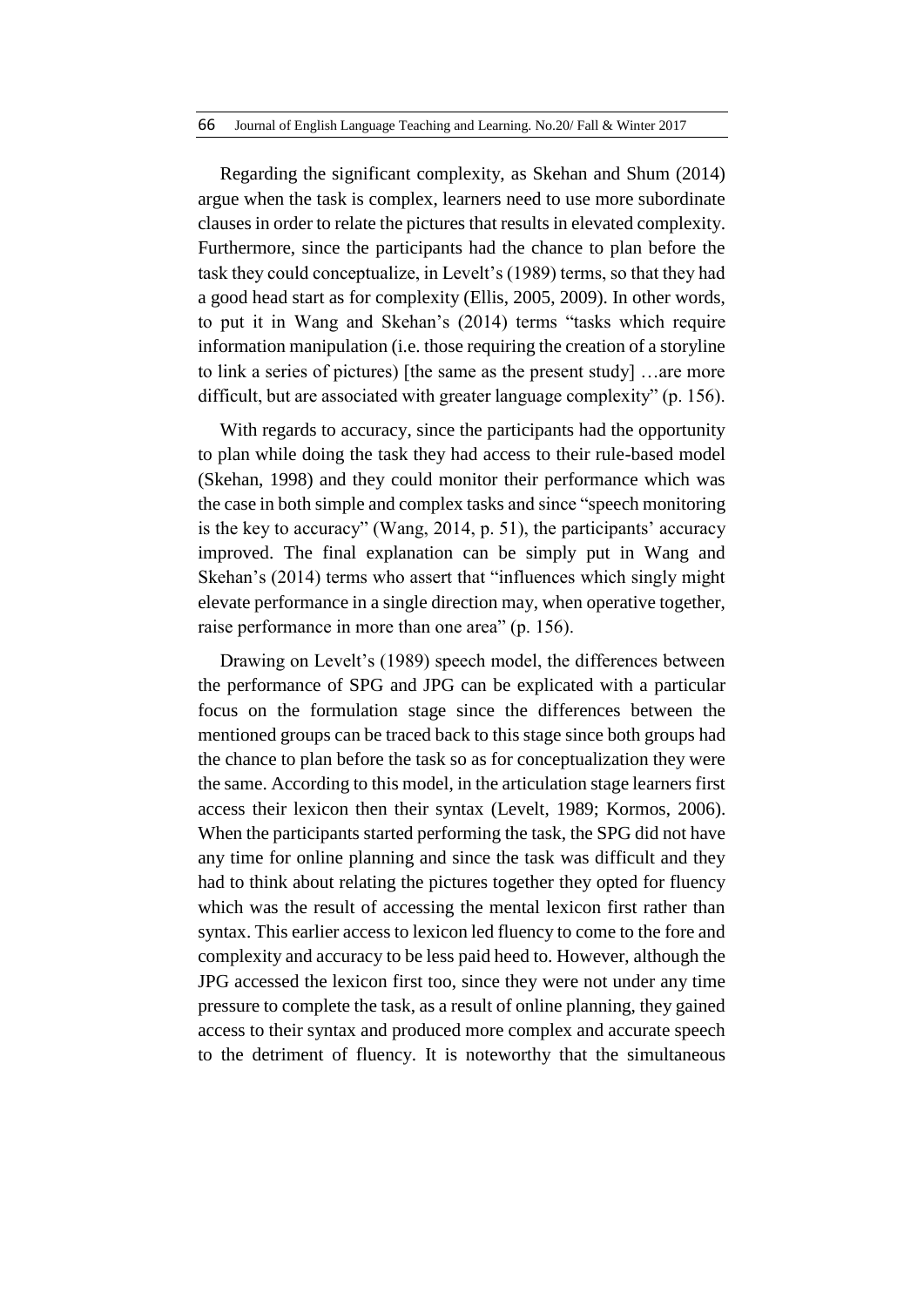Regarding the significant complexity, as Skehan and Shum (2014) argue when the task is complex, learners need to use more subordinate clauses in order to relate the pictures that results in elevated complexity. Furthermore, since the participants had the chance to plan before the task they could conceptualize, in Levelt's (1989) terms, so that they had a good head start as for complexity (Ellis, 2005, 2009). In other words, to put it in Wang and Skehan's (2014) terms "tasks which require information manipulation (i.e. those requiring the creation of a storyline to link a series of pictures) [the same as the present study] …are more difficult, but are associated with greater language complexity" (p. 156).

With regards to accuracy, since the participants had the opportunity to plan while doing the task they had access to their rule-based model (Skehan, 1998) and they could monitor their performance which was the case in both simple and complex tasks and since "speech monitoring is the key to accuracy" (Wang, 2014, p. 51), the participants' accuracy improved. The final explanation can be simply put in Wang and Skehan's (2014) terms who assert that "influences which singly might elevate performance in a single direction may, when operative together, raise performance in more than one area" (p. 156).

Drawing on Levelt's (1989) speech model, the differences between the performance of SPG and JPG can be explicated with a particular focus on the formulation stage since the differences between the mentioned groups can be traced back to this stage since both groups had the chance to plan before the task so as for conceptualization they were the same. According to this model, in the articulation stage learners first access their lexicon then their syntax (Levelt, 1989; Kormos, 2006). When the participants started performing the task, the SPG did not have any time for online planning and since the task was difficult and they had to think about relating the pictures together they opted for fluency which was the result of accessing the mental lexicon first rather than syntax. This earlier access to lexicon led fluency to come to the fore and complexity and accuracy to be less paid heed to. However, although the JPG accessed the lexicon first too, since they were not under any time pressure to complete the task, as a result of online planning, they gained access to their syntax and produced more complex and accurate speech to the detriment of fluency. It is noteworthy that the simultaneous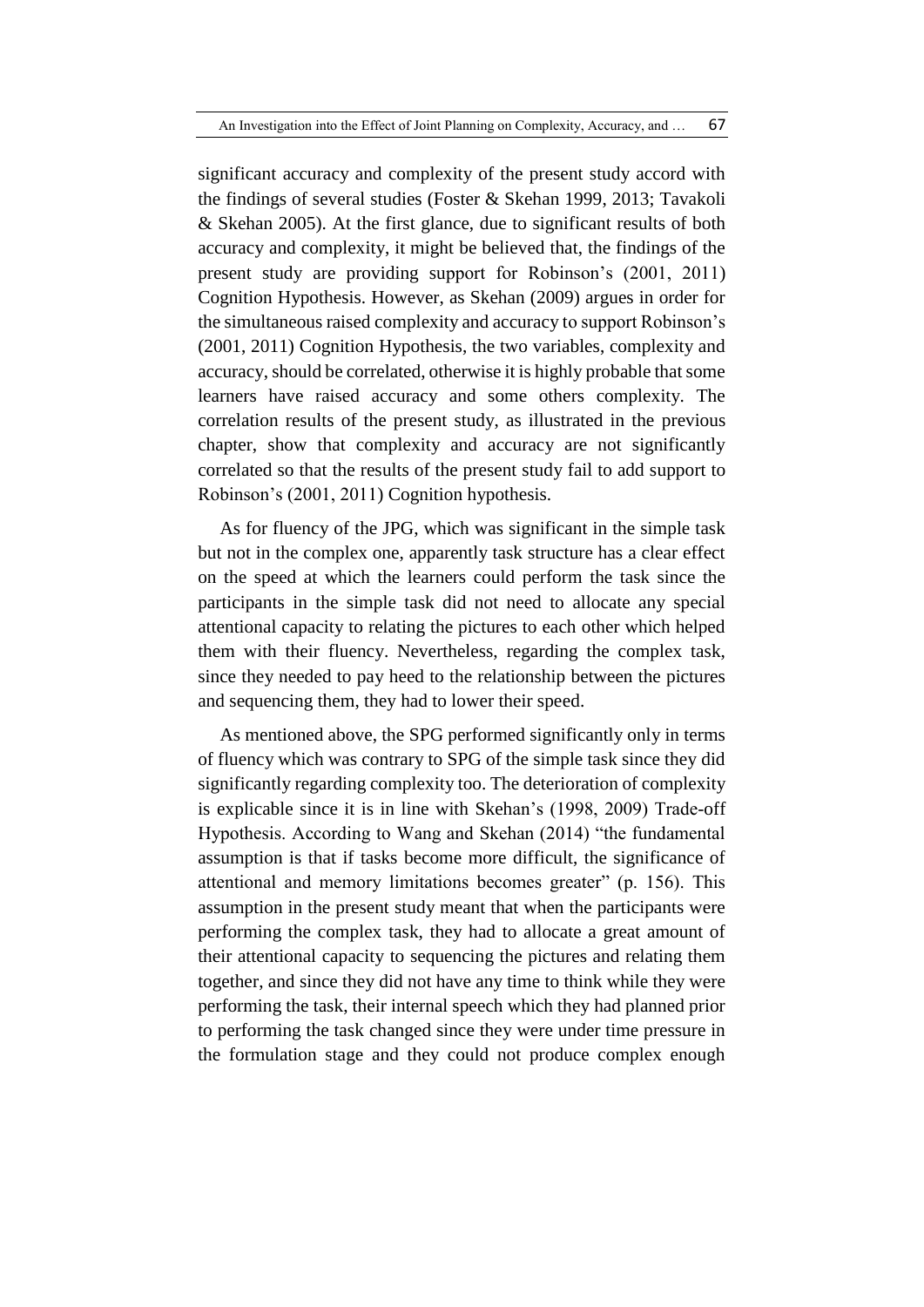significant accuracy and complexity of the present study accord with the findings of several studies (Foster & Skehan 1999, 2013; Tavakoli & Skehan 2005). At the first glance, due to significant results of both accuracy and complexity, it might be believed that, the findings of the present study are providing support for Robinson's (2001, 2011) Cognition Hypothesis. However, as Skehan (2009) argues in order for the simultaneous raised complexity and accuracy to support Robinson's (2001, 2011) Cognition Hypothesis, the two variables, complexity and accuracy, should be correlated, otherwise it is highly probable that some learners have raised accuracy and some others complexity. The correlation results of the present study, as illustrated in the previous chapter, show that complexity and accuracy are not significantly correlated so that the results of the present study fail to add support to Robinson's (2001, 2011) Cognition hypothesis.

As for fluency of the JPG, which was significant in the simple task but not in the complex one, apparently task structure has a clear effect on the speed at which the learners could perform the task since the participants in the simple task did not need to allocate any special attentional capacity to relating the pictures to each other which helped them with their fluency. Nevertheless, regarding the complex task, since they needed to pay heed to the relationship between the pictures and sequencing them, they had to lower their speed.

As mentioned above, the SPG performed significantly only in terms of fluency which was contrary to SPG of the simple task since they did significantly regarding complexity too. The deterioration of complexity is explicable since it is in line with Skehan's (1998, 2009) Trade-off Hypothesis. According to Wang and Skehan (2014) "the fundamental assumption is that if tasks become more difficult, the significance of attentional and memory limitations becomes greater" (p. 156). This assumption in the present study meant that when the participants were performing the complex task, they had to allocate a great amount of their attentional capacity to sequencing the pictures and relating them together, and since they did not have any time to think while they were performing the task, their internal speech which they had planned prior to performing the task changed since they were under time pressure in the formulation stage and they could not produce complex enough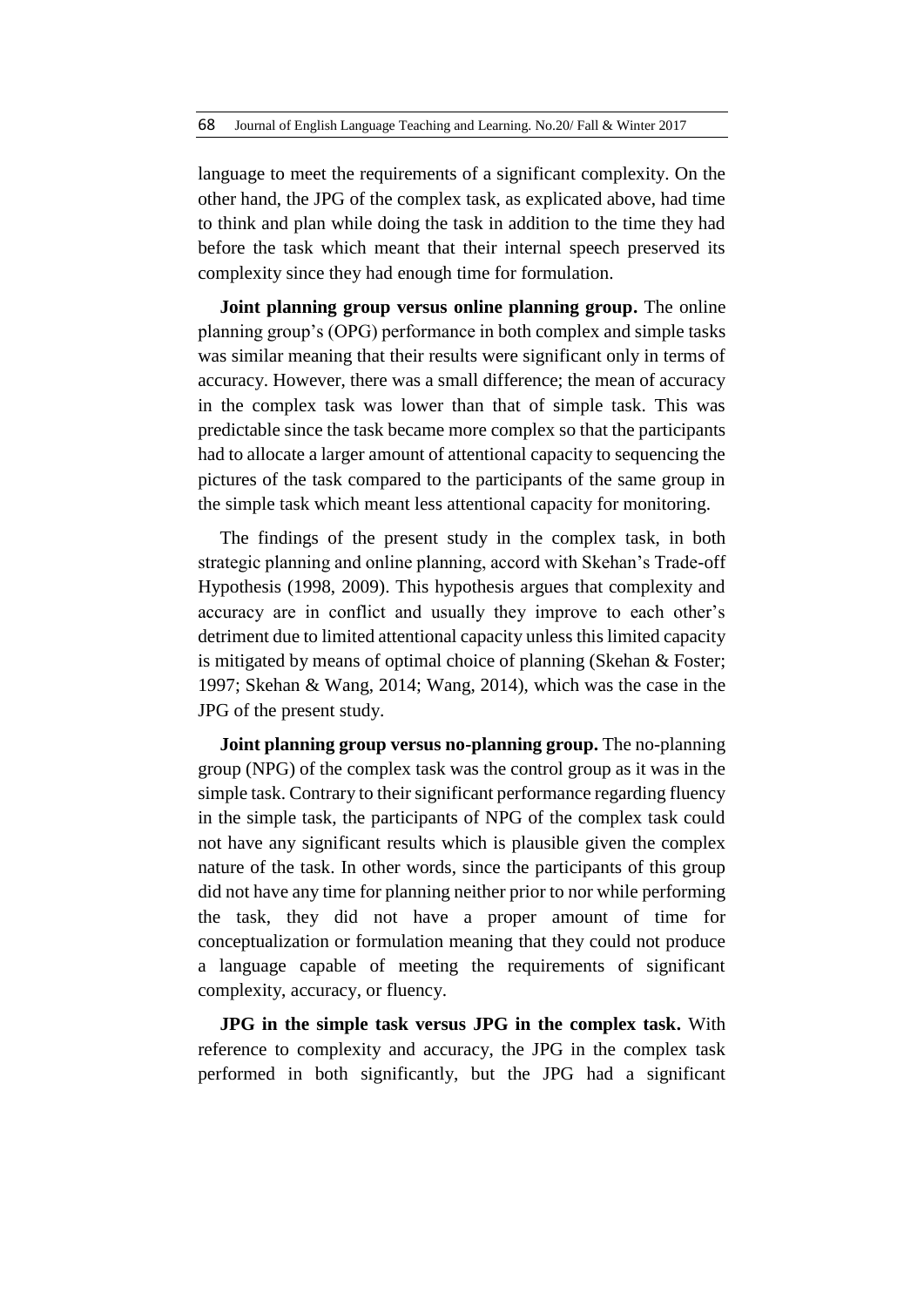language to meet the requirements of a significant complexity. On the other hand, the JPG of the complex task, as explicated above, had time to think and plan while doing the task in addition to the time they had before the task which meant that their internal speech preserved its complexity since they had enough time for formulation.

**Joint planning group versus online planning group.** The online planning group's (OPG) performance in both complex and simple tasks was similar meaning that their results were significant only in terms of accuracy. However, there was a small difference; the mean of accuracy in the complex task was lower than that of simple task. This was predictable since the task became more complex so that the participants had to allocate a larger amount of attentional capacity to sequencing the pictures of the task compared to the participants of the same group in the simple task which meant less attentional capacity for monitoring.

The findings of the present study in the complex task, in both strategic planning and online planning, accord with Skehan's Trade-off Hypothesis (1998, 2009). This hypothesis argues that complexity and accuracy are in conflict and usually they improve to each other's detriment due to limited attentional capacity unless this limited capacity is mitigated by means of optimal choice of planning (Skehan & Foster; 1997; Skehan & Wang, 2014; Wang, 2014), which was the case in the JPG of the present study.

**Joint planning group versus no-planning group.** The no-planning group (NPG) of the complex task was the control group as it was in the simple task. Contrary to their significant performance regarding fluency in the simple task, the participants of NPG of the complex task could not have any significant results which is plausible given the complex nature of the task. In other words, since the participants of this group did not have any time for planning neither prior to nor while performing the task, they did not have a proper amount of time for conceptualization or formulation meaning that they could not produce a language capable of meeting the requirements of significant complexity, accuracy, or fluency.

**JPG in the simple task versus JPG in the complex task.** With reference to complexity and accuracy, the JPG in the complex task performed in both significantly, but the JPG had a significant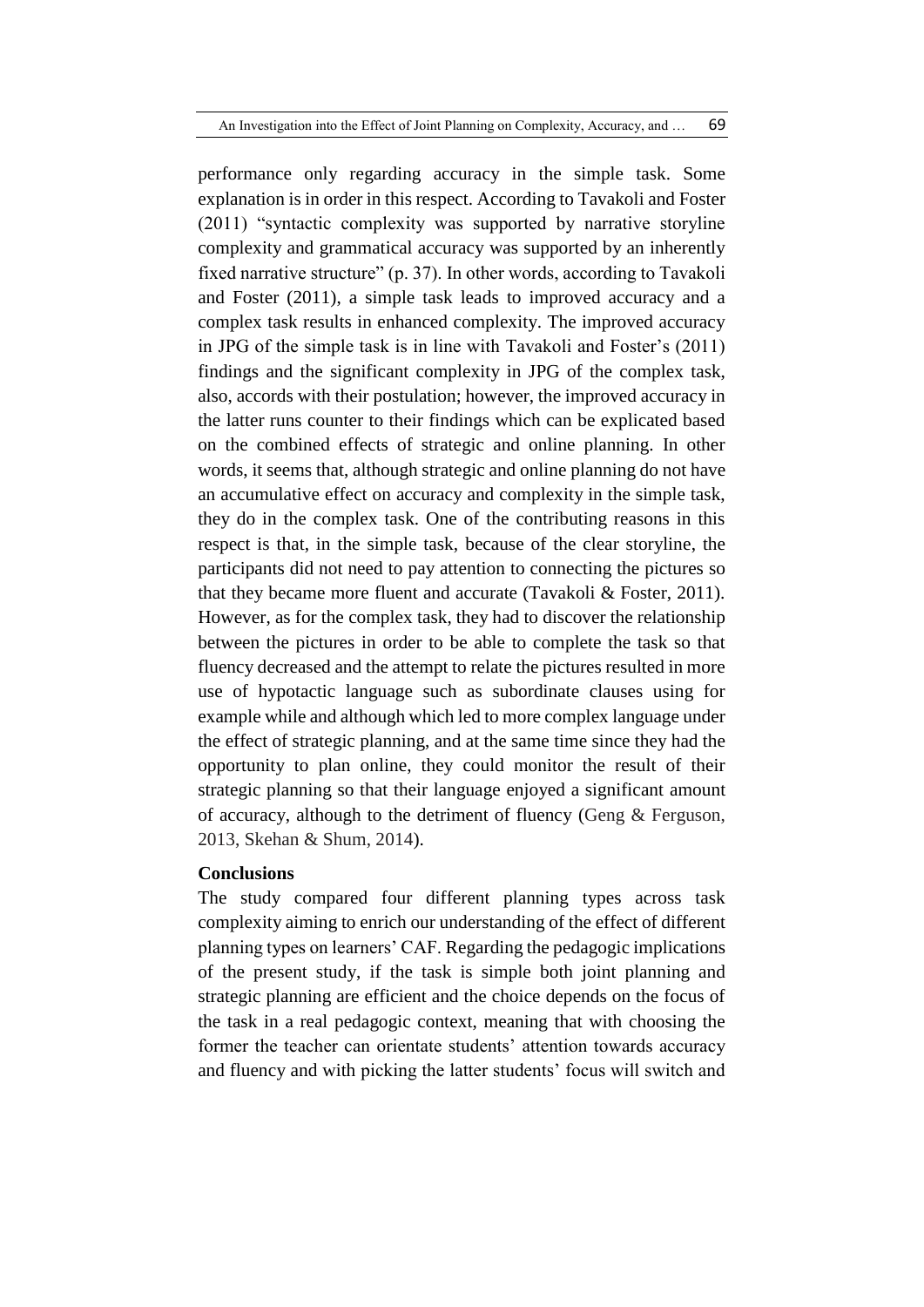performance only regarding accuracy in the simple task. Some explanation is in order in this respect. According to Tavakoli and Foster (2011) "syntactic complexity was supported by narrative storyline complexity and grammatical accuracy was supported by an inherently fixed narrative structure" (p. 37). In other words, according to Tavakoli and Foster (2011), a simple task leads to improved accuracy and a complex task results in enhanced complexity. The improved accuracy in JPG of the simple task is in line with Tavakoli and Foster's (2011) findings and the significant complexity in JPG of the complex task, also, accords with their postulation; however, the improved accuracy in the latter runs counter to their findings which can be explicated based on the combined effects of strategic and online planning. In other words, it seems that, although strategic and online planning do not have an accumulative effect on accuracy and complexity in the simple task, they do in the complex task. One of the contributing reasons in this respect is that, in the simple task, because of the clear storyline, the participants did not need to pay attention to connecting the pictures so that they became more fluent and accurate (Tavakoli & Foster, 2011). However, as for the complex task, they had to discover the relationship between the pictures in order to be able to complete the task so that fluency decreased and the attempt to relate the pictures resulted in more use of hypotactic language such as subordinate clauses using for example while and although which led to more complex language under the effect of strategic planning, and at the same time since they had the opportunity to plan online, they could monitor the result of their strategic planning so that their language enjoyed a significant amount of accuracy, although to the detriment of fluency (Geng & Ferguson, 2013, Skehan & Shum, 2014).

### **Conclusions**

The study compared four different planning types across task complexity aiming to enrich our understanding of the effect of different planning types on learners' CAF. Regarding the pedagogic implications of the present study, if the task is simple both joint planning and strategic planning are efficient and the choice depends on the focus of the task in a real pedagogic context, meaning that with choosing the former the teacher can orientate students' attention towards accuracy and fluency and with picking the latter students' focus will switch and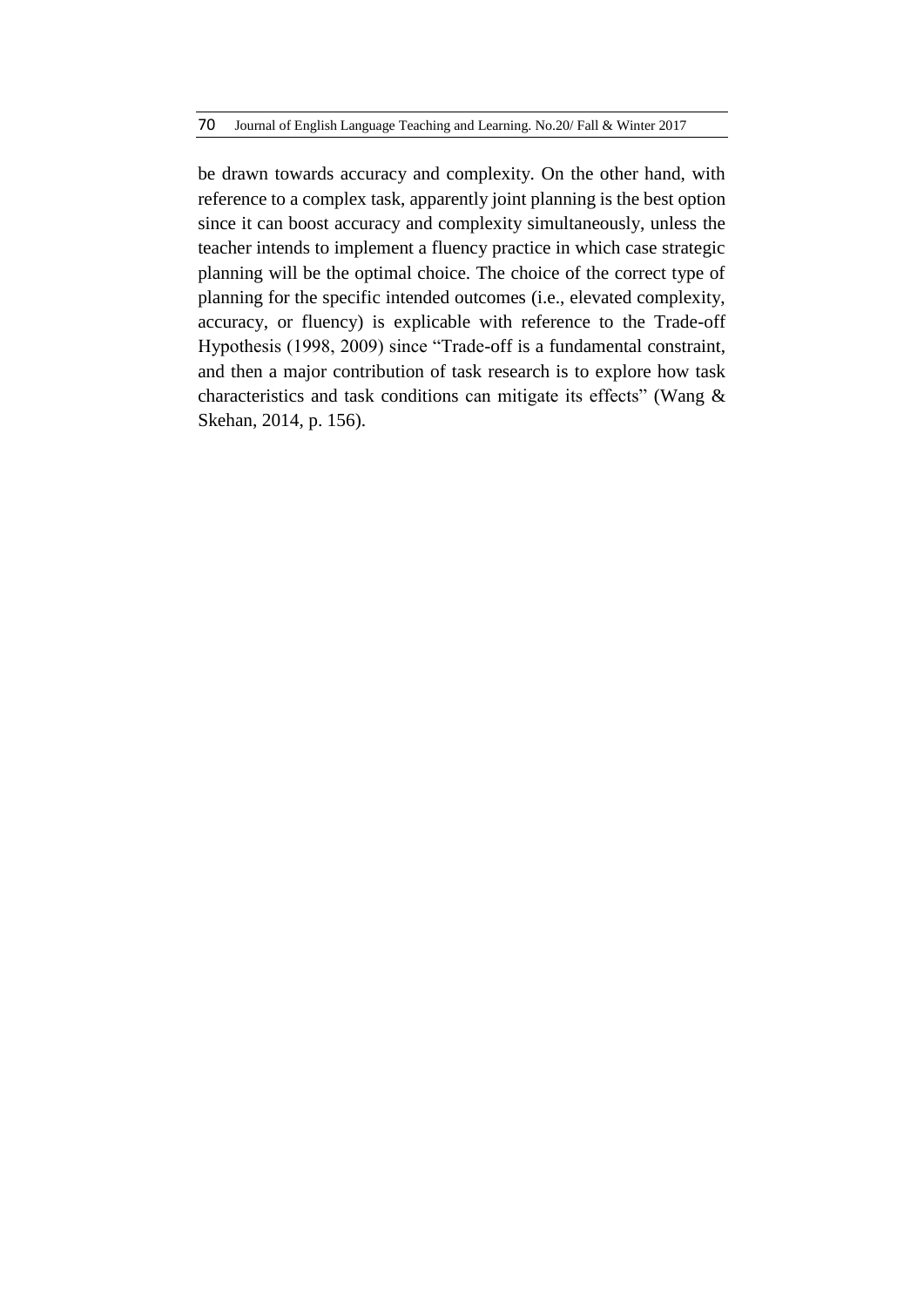be drawn towards accuracy and complexity. On the other hand, with reference to a complex task, apparently joint planning is the best option since it can boost accuracy and complexity simultaneously, unless the teacher intends to implement a fluency practice in which case strategic planning will be the optimal choice. The choice of the correct type of planning for the specific intended outcomes (i.e., elevated complexity, accuracy, or fluency) is explicable with reference to the Trade-off Hypothesis (1998, 2009) since "Trade-off is a fundamental constraint, and then a major contribution of task research is to explore how task characteristics and task conditions can mitigate its effects" (Wang & Skehan, 2014, p. 156).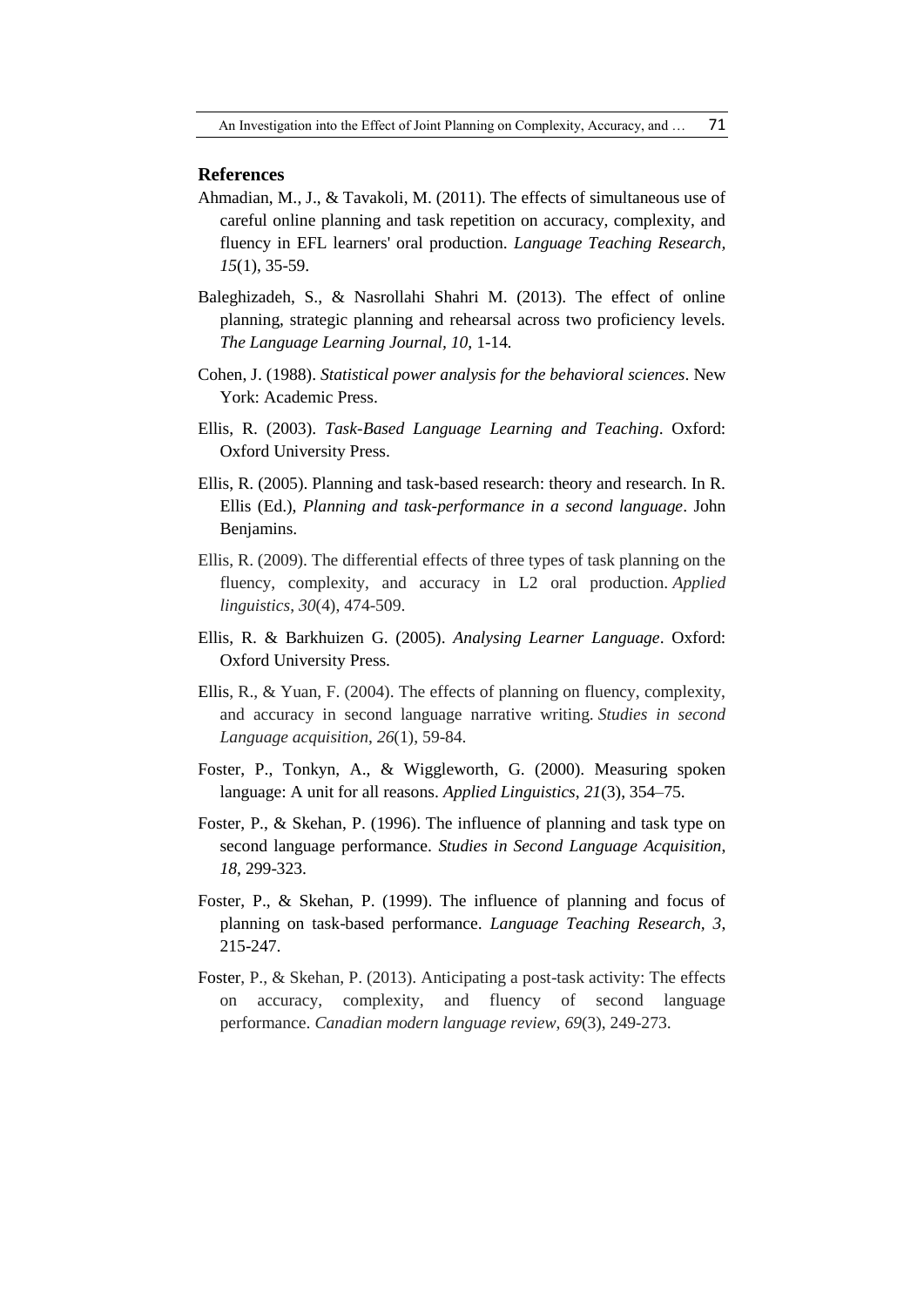#### **References**

- Ahmadian, M., J., & Tavakoli, M. (2011). The effects of simultaneous use of careful online planning and task repetition on accuracy, complexity, and fluency in EFL learners' oral production. *Language Teaching Research, 15*(1), 35-59.
- Baleghizadeh, S., & Nasrollahi Shahri M. (2013). The effect of online planning, strategic planning and rehearsal across two proficiency levels. *The Language Learning Journal, 10,* 1-14*.*
- Cohen, J. (1988). *Statistical power analysis for the behavioral sciences*. New York: Academic Press.
- Ellis, R. (2003). *Task-Based Language Learning and Teaching*. Oxford: Oxford University Press.
- Ellis, R. (2005). Planning and task-based research: theory and research. In R. Ellis (Ed.), *Planning and task-performance in a second language*. John Benjamins.
- Ellis, R. (2009). The differential effects of three types of task planning on the fluency, complexity, and accuracy in L2 oral production. *Applied linguistics*, *30*(4), 474-509.
- Ellis, R. & Barkhuizen G. (2005). *Analysing Learner Language*. Oxford: Oxford University Press.
- Ellis, R., & Yuan, F. (2004). The effects of planning on fluency, complexity, and accuracy in second language narrative writing. *Studies in second Language acquisition*, *26*(1), 59-84.
- Foster, P., Tonkyn, A., & Wiggleworth, G. (2000). Measuring spoken language: A unit for all reasons. *Applied Linguistics*, *21*(3), 354–75.
- Foster, P., & Skehan, P. (1996). The influence of planning and task type on second language performance. *Studies in Second Language Acquisition*, *18*, 299-323.
- Foster, P., & Skehan, P. (1999). The influence of planning and focus of planning on task-based performance. *Language Teaching Research, 3*, 215-247.
- Foster, P., & Skehan, P. (2013). Anticipating a post-task activity: The effects on accuracy, complexity, and fluency of second language performance. *Canadian modern language review*, *69*(3), 249-273.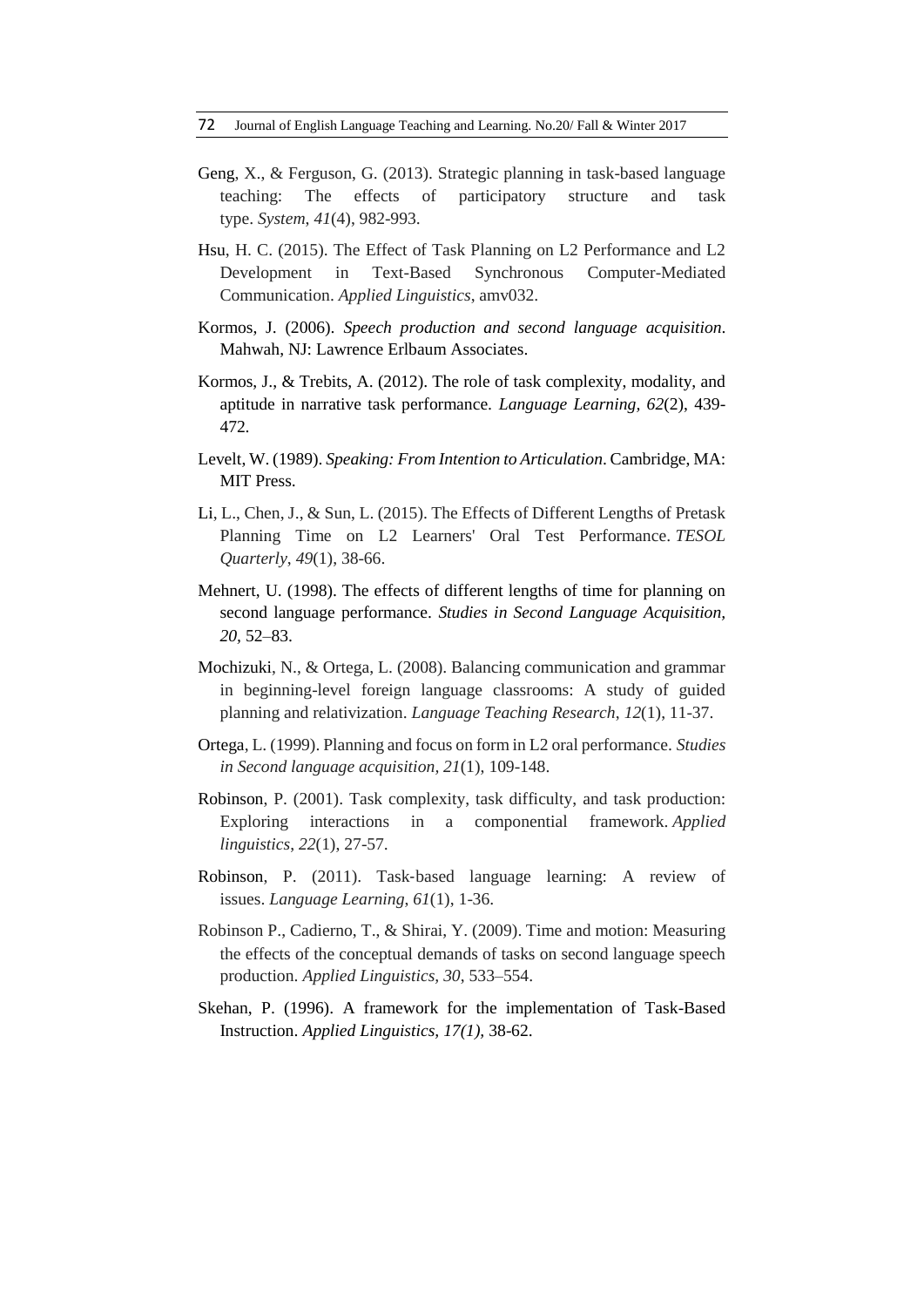72 Journal of English Language Teaching and Learning. No.20/ Fall & Winter 2017

- Geng, X., & Ferguson, G. (2013). Strategic planning in task-based language teaching: The effects of participatory structure and task type. *System*, *41*(4), 982-993.
- Hsu, H. C. (2015). The Effect of Task Planning on L2 Performance and L2 Development in Text-Based Synchronous Computer-Mediated Communication. *Applied Linguistics*, amv032.
- Kormos, J. (2006). *Speech production and second language acquisition*. Mahwah, NJ: Lawrence Erlbaum Associates.
- Kormos, J., & Trebits, A. (2012). The role of task complexity, modality, and aptitude in narrative task performance*. Language Learning, 62*(2), 439- 472*.*
- Levelt, W. (1989). *Speaking: From Intention to Articulation*. Cambridge, MA: MIT Press.
- Li, L., Chen, J., & Sun, L. (2015). The Effects of Different Lengths of Pretask Planning Time on L2 Learners' Oral Test Performance. *TESOL Quarterly*, *49*(1), 38-66.
- Mehnert, U. (1998). The effects of different lengths of time for planning on second language performance. *Studies in Second Language Acquisition, 20,* 52–83.
- Mochizuki, N., & Ortega, L. (2008). Balancing communication and grammar in beginning-level foreign language classrooms: A study of guided planning and relativization. *Language Teaching Research*, *12*(1), 11-37.
- Ortega, L. (1999). Planning and focus on form in L2 oral performance. *Studies in Second language acquisition, 21*(1), 109-148.
- Robinson, P. (2001). Task complexity, task difficulty, and task production: Exploring interactions in a componential framework. *Applied linguistics*, *22*(1), 27-57.
- Robinson, P. (2011). Task‐based language learning: A review of issues. *Language Learning*, *61*(1), 1-36.
- Robinson P., Cadierno, T., & Shirai, Y. (2009). Time and motion: Measuring the effects of the conceptual demands of tasks on second language speech production. *Applied Linguistics, 30*, 533–554.
- Skehan, P. (1996). A framework for the implementation of Task-Based Instruction. *Applied Linguistics, 17(1),* 38-62.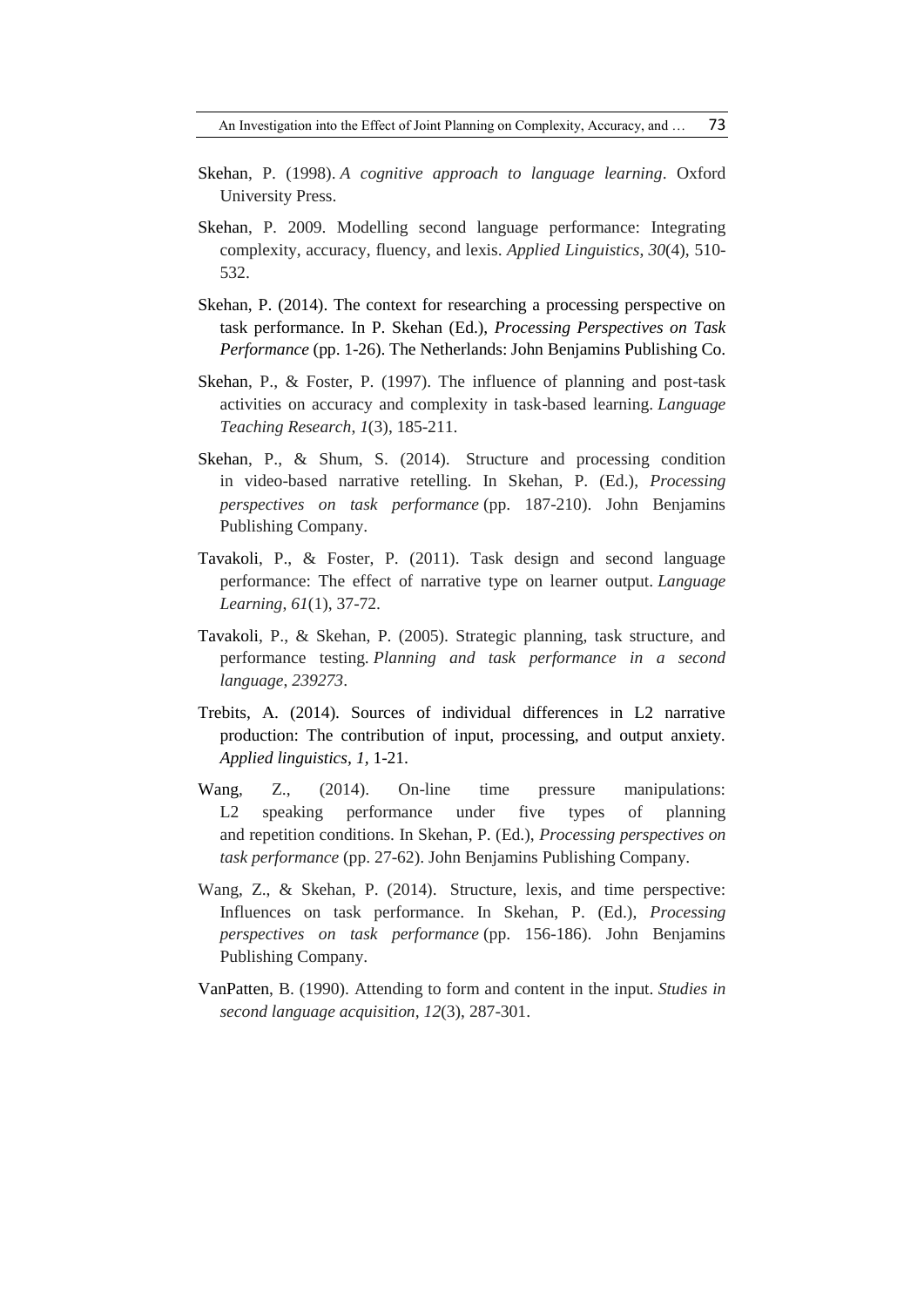- Skehan, P. (1998). *A cognitive approach to language learning*. Oxford University Press.
- Skehan, P. 2009. Modelling second language performance: Integrating complexity, accuracy, fluency, and lexis. *Applied Linguistics*, *30*(4), 510- 532.
- Skehan, P. (2014). The context for researching a processing perspective on task performance. In P. Skehan (Ed.), *Processing Perspectives on Task Performance* (pp. 1-26). The Netherlands: John Benjamins Publishing Co.
- Skehan, P., & Foster, P. (1997). The influence of planning and post-task activities on accuracy and complexity in task-based learning. *Language Teaching Research*, *1*(3), 185-211.
- Skehan, P., & Shum, S. (2014). Structure and processing condition in video-based narrative retelling. In Skehan, P. (Ed.), *Processing perspectives on task performance* (pp. 187-210). John Benjamins Publishing Company.
- Tavakoli, P., & Foster, P. (2011). Task design and second language performance: The effect of narrative type on learner output. *Language Learning*, *61*(1), 37-72.
- Tavakoli, P., & Skehan, P. (2005). Strategic planning, task structure, and performance testing. *Planning and task performance in a second language*, *239273*.
- Trebits, A. (2014). Sources of individual differences in L2 narrative production: The contribution of input, processing, and output anxiety. *Applied linguistics, 1,* 1-21.
- Wang, Z., (2014). On-line time pressure manipulations: L<sub>2</sub> speaking performance under five types of planning and repetition conditions. In Skehan, P. (Ed.), *Processing perspectives on task performance* (pp. 27-62). John Benjamins Publishing Company.
- Wang, Z., & Skehan, P. (2014). Structure, lexis, and time perspective: Influences on task performance. In Skehan, P. (Ed.), *Processing perspectives on task performance* (pp. 156-186). John Benjamins Publishing Company.
- VanPatten, B. (1990). Attending to form and content in the input. *Studies in second language acquisition, 12*(3), 287-301.